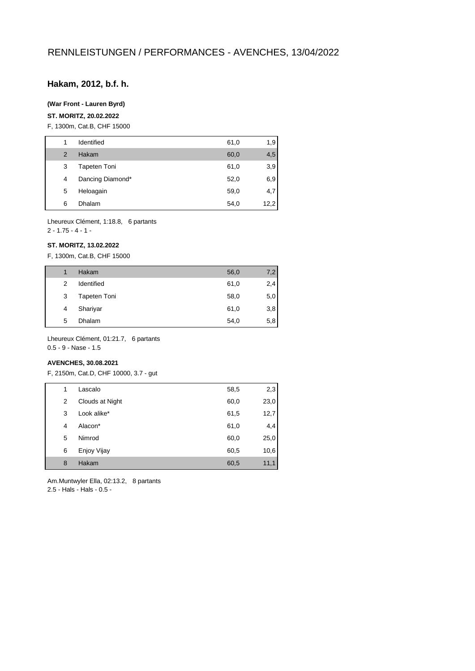# **Hakam, 2012, b.f. h.**

#### **(War Front - Lauren Byrd)**

#### **ST. MORITZ, 20.02.2022**

F, 1300m, Cat.B, CHF 15000

| 1             | Identified          | 61,0 | 1,9  |
|---------------|---------------------|------|------|
| $\mathcal{P}$ | Hakam               | 60,0 | 4,5  |
| 3             | <b>Tapeten Toni</b> | 61,0 | 3,9  |
| 4             | Dancing Diamond*    | 52,0 | 6,9  |
| 5             | Heloagain           | 59,0 | 4,7  |
| 6             | Dhalam              | 54,0 | 12,2 |

Lheureux Clément, 1:18.8, 6 partants

# 2 - 1.75 - 4 - 1 -

# **ST. MORITZ, 13.02.2022**

F, 1300m, Cat.B, CHF 15000

| 1 | Hakam               | 56,0 | 7,2 |
|---|---------------------|------|-----|
| 2 | Identified          | 61,0 | 2,4 |
| 3 | <b>Tapeten Toni</b> | 58,0 | 5,0 |
| 4 | Shariyar            | 61,0 | 3,8 |
| 5 | Dhalam              | 54,0 | 5,8 |
|   |                     |      |     |

Lheureux Clément, 01:21.7, 6 partants 0.5 - 9 - Nase - 1.5

# **AVENCHES, 30.08.2021**

F, 2150m, Cat.D, CHF 10000, 3.7 - gut

| 1 | Lascalo         | 58,5 | 2,3  |
|---|-----------------|------|------|
| 2 | Clouds at Night | 60,0 | 23,0 |
| 3 | Look alike*     | 61,5 | 12,7 |
| 4 | Alacon*         | 61,0 | 4,4  |
| 5 | Nimrod          | 60,0 | 25,0 |
| 6 | Enjoy Vijay     | 60,5 | 10,6 |
| 8 | Hakam           | 60,5 | 11,1 |

Am.Muntwyler Ella, 02:13.2, 8 partants 2.5 - Hals - Hals - 0.5 -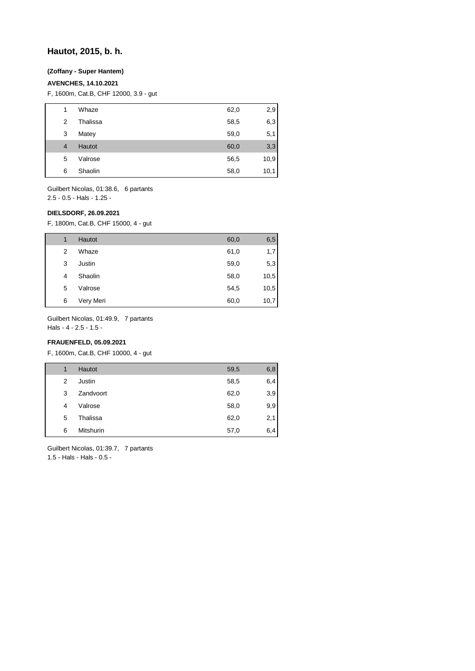# **Hautot, 2015, b. h.**

# **(Zoffany - Super Hantem)**

# **AVENCHES, 14.10.2021**

F, 1600m, Cat.B, CHF 12000, 3.9 - gut

| 1              | Whaze         | 62,0 | 2,9  |
|----------------|---------------|------|------|
| 2              | Thalissa      | 58,5 | 6,3  |
| 3              | Matey         | 59,0 | 5,1  |
| $\overline{4}$ | <b>Hautot</b> | 60,0 | 3,3  |
| 5              | Valrose       | 56,5 | 10,9 |
| 6              | Shaolin       | 58,0 | 10,1 |
|                |               |      |      |

Guilbert Nicolas, 01:38.6, 6 partants 2.5 - 0.5 - Hals - 1.25 -

# **DIELSDORF, 26.09.2021**

F, 1800m, Cat.B, CHF 15000, 4 - gut

| 1 | <b>Hautot</b> | 60,0 | 6,5  |
|---|---------------|------|------|
| 2 | Whaze         | 61,0 | 1,7  |
| 3 | Justin        | 59,0 | 5,3  |
| 4 | Shaolin       | 58,0 | 10,5 |
| 5 | Valrose       | 54,5 | 10,5 |
| 6 | Very Meri     | 60,0 | 10,7 |

Guilbert Nicolas, 01:49.9, 7 partants

Hals - 4 - 2.5 - 1.5 -

# **FRAUENFELD, 05.09.2021**

F, 1600m, Cat.B, CHF 10000, 4 - gut

| 1 | <b>Hautot</b>    | 59,5 | 6,8 |
|---|------------------|------|-----|
| 2 | Justin           | 58,5 | 6,4 |
| 3 | Zandvoort        | 62,0 | 3,9 |
| 4 | Valrose          | 58,0 | 9,9 |
| 5 | Thalissa         | 62,0 | 2,1 |
| 6 | <b>Mitshurin</b> | 57,0 | 6,4 |

Guilbert Nicolas, 01:39.7, 7 partants 1.5 - Hals - Hals - 0.5 -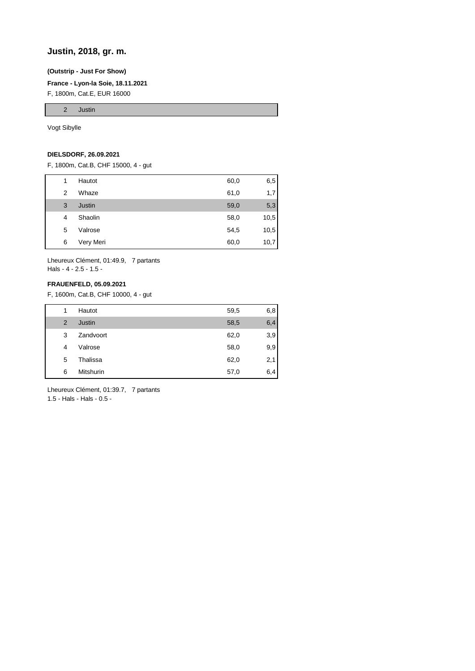# **Justin, 2018, gr. m.**

#### **(Outstrip - Just For Show)**

**France - Lyon-la Soie, 18.11.2021**

F, 1800m, Cat.E, EUR 16000

2 Justin

Vogt Sibylle

# **DIELSDORF, 26.09.2021**

F, 1800m, Cat.B, CHF 15000, 4 - gut

| 1 | Hautot    | 60,0 | 6,5  |
|---|-----------|------|------|
| 2 | Whaze     | 61,0 | 1,7  |
| 3 | Justin    | 59,0 | 5,3  |
| 4 | Shaolin   | 58,0 | 10,5 |
| 5 | Valrose   | 54,5 | 10,5 |
| 6 | Very Meri | 60,0 | 10,7 |

Lheureux Clément, 01:49.9, 7 partants Hals - 4 - 2.5 - 1.5 -

# **FRAUENFELD, 05.09.2021**

F, 1600m, Cat.B, CHF 10000, 4 - gut

| 1              | Hautot           | 59,5 | 6,8 |
|----------------|------------------|------|-----|
| $\overline{2}$ | Justin           | 58,5 | 6,4 |
| 3              | Zandvoort        | 62,0 | 3,9 |
| 4              | Valrose          | 58,0 | 9,9 |
| 5              | Thalissa         | 62,0 | 2,1 |
| 6              | <b>Mitshurin</b> | 57,0 | 6,4 |

Lheureux Clément, 01:39.7, 7 partants 1.5 - Hals - Hals - 0.5 -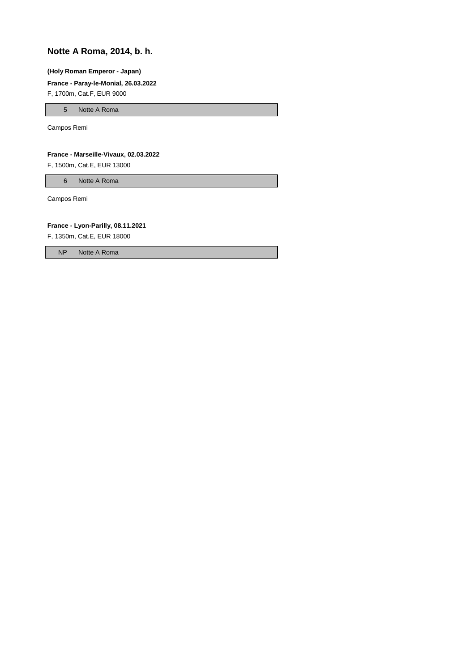# **Notte A Roma, 2014, b. h.**

#### **(Holy Roman Emperor - Japan)**

#### **France - Paray-le-Monial, 26.03.2022**

F, 1700m, Cat.F, EUR 9000

5 Notte A Roma

Campos Remi

#### **France - Marseille-Vivaux, 02.03.2022**

F, 1500m, Cat.E, EUR 13000

6 Notte A Roma

Campos Remi

### **France - Lyon-Parilly, 08.11.2021**

F, 1350m, Cat.E, EUR 18000

NP Notte A Roma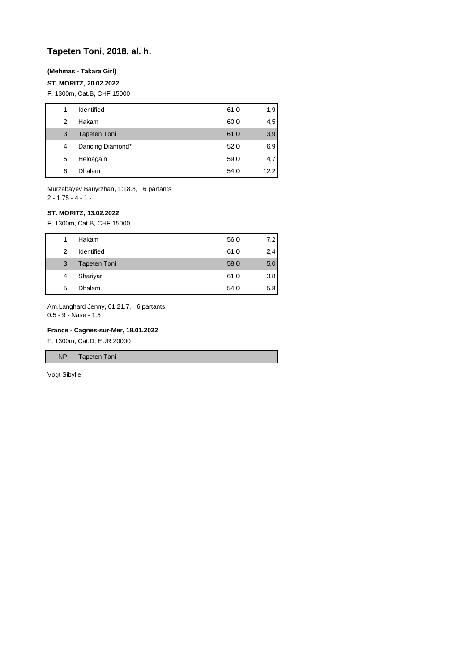# **Tapeten Toni, 2018, al. h.**

## **(Mehmas - Takara Girl)**

### **ST. MORITZ, 20.02.2022**

F, 1300m, Cat.B, CHF 15000

| 1 | Identified          | 61,0 | 1,9  |
|---|---------------------|------|------|
| 2 | Hakam               | 60,0 | 4,5  |
| 3 | <b>Tapeten Toni</b> | 61,0 | 3,9  |
| 4 | Dancing Diamond*    | 52,0 | 6,9  |
| 5 | Heloagain           | 59,0 | 4,7  |
| 6 | Dhalam              | 54,0 | 12,2 |

Murzabayev Bauyrzhan, 1:18.8, 6 partants  $2 - 1.75 - 4 - 1 -$ 

### **ST. MORITZ, 13.02.2022**

F, 1300m, Cat.B, CHF 15000

| 1 | Hakam               | 56,0 | 7,2 |
|---|---------------------|------|-----|
| 2 | Identified          | 61,0 | 2,4 |
| 3 | <b>Tapeten Toni</b> | 58,0 | 5,0 |
| 4 | Shariyar            | 61,0 | 3,8 |
| 5 | <b>Dhalam</b>       | 54,0 | 5,8 |

Am.Langhard Jenny, 01:21.7, 6 partants 0.5 - 9 - Nase - 1.5

# **France - Cagnes-sur-Mer, 18.01.2022**

F, 1300m, Cat.D, EUR 20000

NP Tapeten Toni

Vogt Sibylle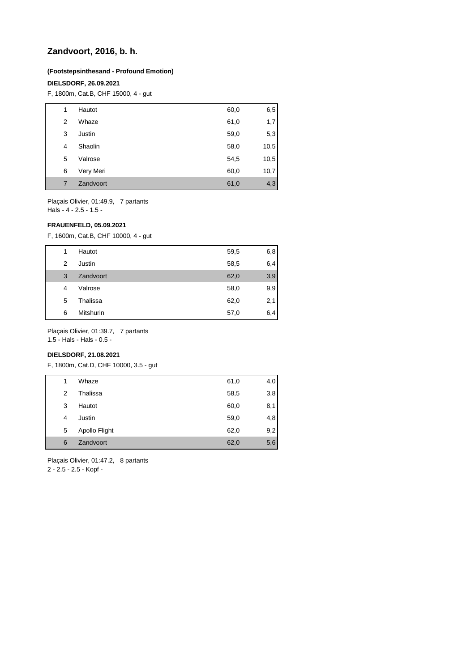# **Zandvoort, 2016, b. h.**

## **(Footstepsinthesand - Profound Emotion)**

## **DIELSDORF, 26.09.2021**

F, 1800m, Cat.B, CHF 15000, 4 - gut

| 1 | Hautot    | 60,0 | 6,5  |
|---|-----------|------|------|
| 2 | Whaze     | 61,0 | 1,7  |
| 3 | Justin    | 59,0 | 5,3  |
| 4 | Shaolin   | 58,0 | 10,5 |
| 5 | Valrose   | 54,5 | 10,5 |
| 6 | Very Meri | 60,0 | 10,7 |
| 7 | Zandvoort | 61,0 | 4,3  |

Plaçais Olivier, 01:49.9, 7 partants Hals - 4 - 2.5 - 1.5 -

#### **FRAUENFELD, 05.09.2021**

F, 1600m, Cat.B, CHF 10000, 4 - gut

| 1 | Hautot    | 59,5 | 6,8 |
|---|-----------|------|-----|
| 2 | Justin    | 58,5 | 6,4 |
| 3 | Zandvoort | 62,0 | 3,9 |
| 4 | Valrose   | 58,0 | 9,9 |
| 5 | Thalissa  | 62,0 | 2,1 |
| 6 | Mitshurin | 57,0 | 6,4 |

Plaçais Olivier, 01:39.7, 7 partants

1.5 - Hals - Hals - 0.5 -

# **DIELSDORF, 21.08.2021**

F, 1800m, Cat.D, CHF 10000, 3.5 - gut

| 1 | Whaze         | 61,0 | 4,0 |
|---|---------------|------|-----|
| 2 | Thalissa      | 58,5 | 3,8 |
| 3 | Hautot        | 60,0 | 8,1 |
| 4 | Justin        | 59,0 | 4,8 |
| 5 | Apollo Flight | 62,0 | 9,2 |
| 6 | Zandvoort     | 62,0 | 5,6 |
|   |               |      |     |

Plaçais Olivier, 01:47.2, 8 partants

2 - 2.5 - 2.5 - Kopf -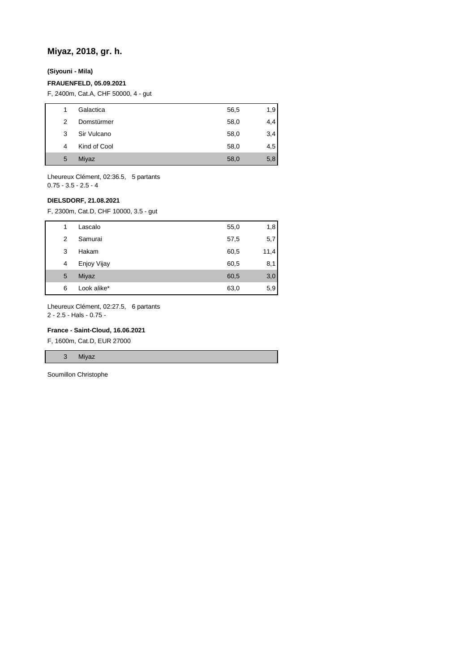# **Miyaz, 2018, gr. h.**

**(Siyouni - Mila)**

### **FRAUENFELD, 05.09.2021**

F, 2400m, Cat.A, CHF 50000, 4 - gut

| 1 | Galactica    | 56,5 | 1,9 |
|---|--------------|------|-----|
| 2 | Domstürmer   | 58,0 | 4,4 |
| 3 | Sir Vulcano  | 58,0 | 3,4 |
| 4 | Kind of Cool | 58,0 | 4,5 |
| 5 | Miyaz        | 58,0 | 5,8 |
|   |              |      |     |

Lheureux Clément, 02:36.5, 5 partants 0.75 - 3.5 - 2.5 - 4

## **DIELSDORF, 21.08.2021**

F, 2300m, Cat.D, CHF 10000, 3.5 - gut

| 1 | Lascalo     | 55,0 | 1,8  |
|---|-------------|------|------|
| 2 | Samurai     | 57,5 | 5,7  |
| 3 | Hakam       | 60,5 | 11,4 |
| 4 | Enjoy Vijay | 60,5 | 8,1  |
| 5 | Miyaz       | 60,5 | 3,0  |
| 6 | Look alike* | 63,0 | 5,9  |

Lheureux Clément, 02:27.5, 6 partants 2 - 2.5 - Hals - 0.75 -

# **France - Saint-Cloud, 16.06.2021**

F, 1600m, Cat.D, EUR 27000

3 Miyaz

Soumillon Christophe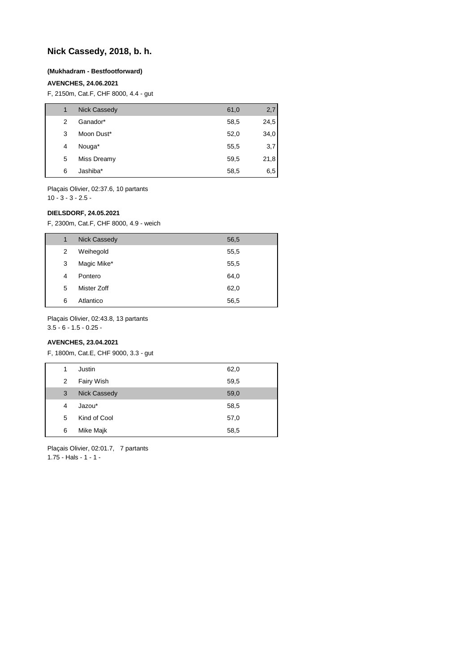# **Nick Cassedy, 2018, b. h.**

#### **(Mukhadram - Bestfootforward)**

## **AVENCHES, 24.06.2021**

F, 2150m, Cat.F, CHF 8000, 4.4 - gut

| 1 | <b>Nick Cassedy</b> | 61,0 | 2,7  |
|---|---------------------|------|------|
| 2 | Ganador*            | 58,5 | 24,5 |
| 3 | Moon Dust*          | 52,0 | 34,0 |
| 4 | Nouga*              | 55,5 | 3,7  |
| 5 | Miss Dreamy         | 59,5 | 21,8 |
| 6 | Jashiba*            | 58,5 | 6,5  |

Plaçais Olivier, 02:37.6, 10 partants  $10 - 3 - 3 - 2.5$ 

#### **DIELSDORF, 24.05.2021**

F, 2300m, Cat.F, CHF 8000, 4.9 - weich

| 1 | <b>Nick Cassedy</b> | 56,5 |
|---|---------------------|------|
| 2 | Weihegold           | 55,5 |
| 3 | Magic Mike*         | 55,5 |
| 4 | Pontero             | 64,0 |
| 5 | Mister Zoff         | 62,0 |
| 6 | Atlantico           | 56,5 |

Plaçais Olivier, 02:43.8, 13 partants

3.5 - 6 - 1.5 - 0.25 -

# **AVENCHES, 23.04.2021**

F, 1800m, Cat.E, CHF 9000, 3.3 - gut

| 1              | Justin              | 62,0 |
|----------------|---------------------|------|
| $\overline{2}$ | Fairy Wish          | 59,5 |
| 3              | <b>Nick Cassedy</b> | 59,0 |
| 4              | Jazou*              | 58,5 |
| 5              | Kind of Cool        | 57,0 |
| 6              | Mike Majk           | 58,5 |
|                |                     |      |

Plaçais Olivier, 02:01.7, 7 partants 1.75 - Hals - 1 - 1 -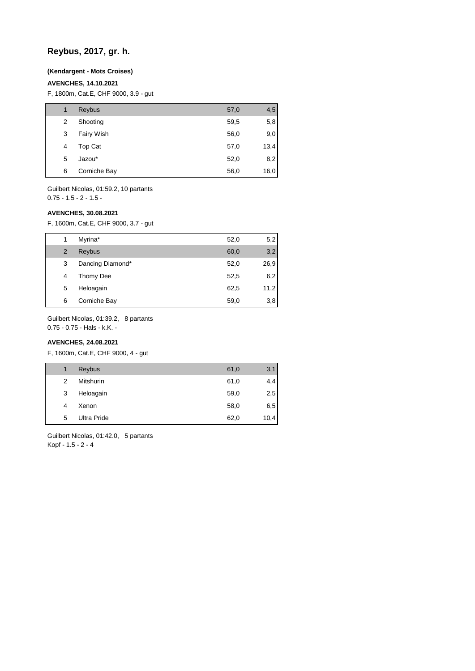# **Reybus, 2017, gr. h.**

### **(Kendargent - Mots Croises)**

# **AVENCHES, 14.10.2021**

F, 1800m, Cat.E, CHF 9000, 3.9 - gut

| 1 | Reybus       | 57,0 | 4,5  |
|---|--------------|------|------|
| 2 | Shooting     | 59,5 | 5,8  |
| 3 | Fairy Wish   | 56,0 | 9,0  |
| 4 | Top Cat      | 57,0 | 13,4 |
| 5 | Jazou*       | 52,0 | 8,2  |
| 6 | Corniche Bay | 56,0 | 16,0 |

Guilbert Nicolas, 01:59.2, 10 partants  $0.75 - 1.5 - 2 - 1.5 -$ 

#### **AVENCHES, 30.08.2021**

F, 1600m, Cat.E, CHF 9000, 3.7 - gut

|   | Myrina*          | 52,0 | 5,2  |
|---|------------------|------|------|
| 2 | Reybus           | 60,0 | 3,2  |
| 3 | Dancing Diamond* | 52,0 | 26,9 |
| 4 | Thomy Dee        | 52,5 | 6,2  |
| 5 | Heloagain        | 62,5 | 11,2 |
| 6 | Corniche Bay     | 59,0 | 3,8  |

Guilbert Nicolas, 01:39.2, 8 partants

0.75 - 0.75 - Hals - k.K. -

# **AVENCHES, 24.08.2021**

F, 1600m, Cat.E, CHF 9000, 4 - gut

| 1 | Reybus           | 61,0 | 3,1  |
|---|------------------|------|------|
| 2 | <b>Mitshurin</b> | 61,0 | 4,4  |
| 3 | Heloagain        | 59,0 | 2,5  |
| 4 | Xenon            | 58,0 | 6,5  |
| 5 | Ultra Pride      | 62,0 | 10,4 |

Guilbert Nicolas, 01:42.0, 5 partants Kopf - 1.5 - 2 - 4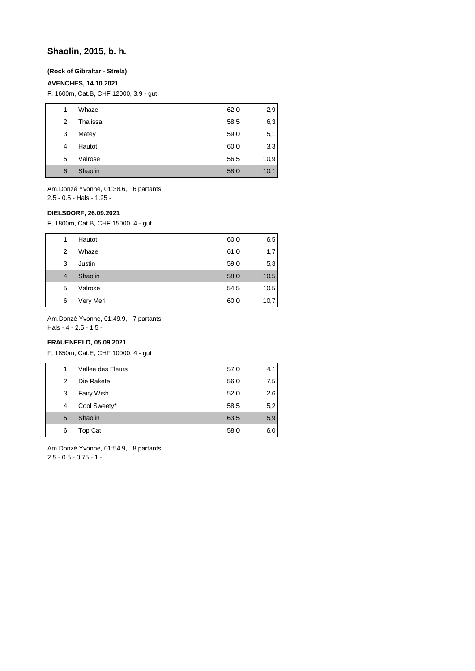# **Shaolin, 2015, b. h.**

## **(Rock of Gibraltar - Strela)**

# **AVENCHES, 14.10.2021**

F, 1600m, Cat.B, CHF 12000, 3.9 - gut

| 1 | Whaze    | 62,0 | 2,9  |
|---|----------|------|------|
| 2 | Thalissa | 58,5 | 6,3  |
| 3 | Matey    | 59,0 | 5,1  |
| 4 | Hautot   | 60,0 | 3,3  |
| 5 | Valrose  | 56,5 | 10,9 |
| 6 | Shaolin  | 58,0 | 10,1 |

Am.Donzé Yvonne, 01:38.6, 6 partants 2.5 - 0.5 - Hals - 1.25 -

#### **DIELSDORF, 26.09.2021**

F, 1800m, Cat.B, CHF 15000, 4 - gut

| 5<br>6 | Valrose<br>Very Meri | 54,5<br>60,0 | 10,5<br>10,7 |
|--------|----------------------|--------------|--------------|
| 4      | Shaolin              | 58,0         | 10,5         |
| 3      | Justin               | 59,0         | 5,3          |
| 2      | Whaze                | 61,0         | 1,7          |
| 1      | Hautot               | 60,0         | 6,5          |

Am.Donzé Yvonne, 01:49.9, 7 partants

Hals - 4 - 2.5 - 1.5 -

# **FRAUENFELD, 05.09.2021**

F, 1850m, Cat.E, CHF 10000, 4 - gut

|   | Vallee des Fleurs | 57,0 | 4,1 |
|---|-------------------|------|-----|
| 2 | Die Rakete        | 56,0 | 7,5 |
| 3 | Fairy Wish        | 52,0 | 2,6 |
| 4 | Cool Sweety*      | 58,5 | 5,2 |
| 5 | Shaolin           | 63,5 | 5,9 |
| 6 | Top Cat           | 58,0 | 6,0 |

Am.Donzé Yvonne, 01:54.9, 8 partants 2.5 - 0.5 - 0.75 - 1 -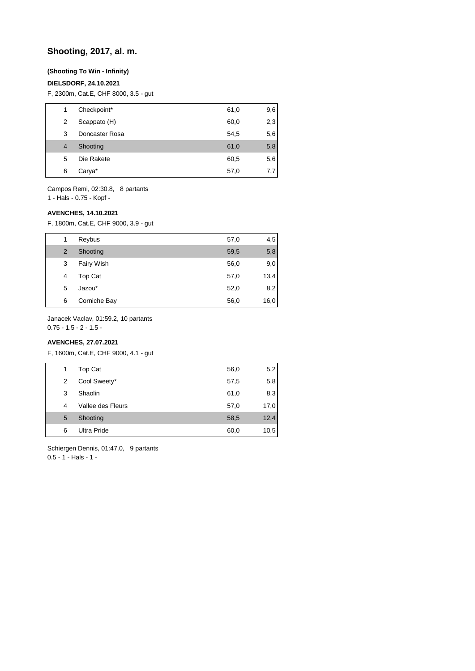# **Shooting, 2017, al. m.**

## **(Shooting To Win - Infinity)**

# **DIELSDORF, 24.10.2021**

F, 2300m, Cat.E, CHF 8000, 3.5 - gut

| 1              | Checkpoint*    | 61,0 | 9,6 |
|----------------|----------------|------|-----|
| 2              | Scappato (H)   | 60,0 | 2,3 |
| 3              | Doncaster Rosa | 54,5 | 5,6 |
| $\overline{4}$ | Shooting       | 61,0 | 5,8 |
| 5              | Die Rakete     | 60,5 | 5,6 |
| 6              | Carya*         | 57,0 | 7.7 |
|                |                |      |     |

Campos Remi, 02:30.8, 8 partants

1 - Hals - 0.75 - Kopf -

### **AVENCHES, 14.10.2021**

F, 1800m, Cat.E, CHF 9000, 3.9 - gut

| 1 | Reybus       | 57,0 | 4,5  |
|---|--------------|------|------|
| 2 | Shooting     | 59,5 | 5,8  |
| 3 | Fairy Wish   | 56,0 | 9,0  |
| 4 | Top Cat      | 57,0 | 13,4 |
| 5 | Jazou*       | 52,0 | 8,2  |
| 6 | Corniche Bay | 56,0 | 16,0 |

Janacek Vaclav, 01:59.2, 10 partants

 $0.75 - 1.5 - 2 - 1.5 -$ 

# **AVENCHES, 27.07.2021**

F, 1600m, Cat.E, CHF 9000, 4.1 - gut

| 1 | Top Cat           | 56,0 | 5,2  |
|---|-------------------|------|------|
| 2 | Cool Sweety*      | 57,5 | 5,8  |
| 3 | Shaolin           | 61,0 | 8,3  |
| 4 | Vallee des Fleurs | 57,0 | 17,0 |
| 5 | Shooting          | 58,5 | 12,4 |
| 6 | Ultra Pride       | 60,0 | 10,5 |

Schiergen Dennis, 01:47.0, 9 partants 0.5 - 1 - Hals - 1 -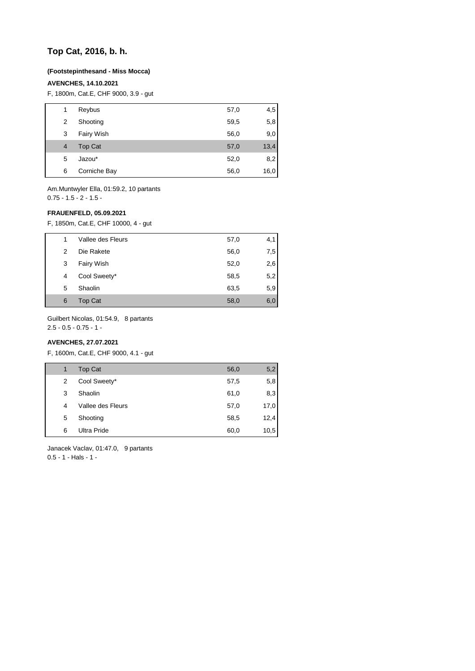# **Top Cat, 2016, b. h.**

#### **(Footstepinthesand - Miss Mocca)**

### **AVENCHES, 14.10.2021**

F, 1800m, Cat.E, CHF 9000, 3.9 - gut

| 1 | Reybus         | 57,0 | 4,5  |
|---|----------------|------|------|
| 2 | Shooting       | 59,5 | 5,8  |
| 3 | Fairy Wish     | 56,0 | 9,0  |
| 4 | <b>Top Cat</b> | 57,0 | 13,4 |
| 5 | Jazou*         | 52,0 | 8,2  |
| 6 | Corniche Bay   | 56,0 | 16,0 |
|   |                |      |      |

Am.Muntwyler Ella, 01:59.2, 10 partants  $0.75 - 1.5 - 2 - 1.5 -$ 

#### **FRAUENFELD, 05.09.2021**

F, 1850m, Cat.E, CHF 10000, 4 - gut

| 1 | Vallee des Fleurs | 57,0 | 4,1 |
|---|-------------------|------|-----|
| 2 | Die Rakete        | 56,0 | 7,5 |
| 3 | Fairy Wish        | 52,0 | 2,6 |
| 4 | Cool Sweety*      | 58,5 | 5,2 |
| 5 | Shaolin           | 63,5 | 5,9 |
| 6 | Top Cat           | 58,0 | 6,0 |

Guilbert Nicolas, 01:54.9, 8 partants

2.5 - 0.5 - 0.75 - 1 -

# **AVENCHES, 27.07.2021**

F, 1600m, Cat.E, CHF 9000, 4.1 - gut

| 1 | <b>Top Cat</b>     | 56,0 | 5,2  |
|---|--------------------|------|------|
| 2 | Cool Sweety*       | 57,5 | 5,8  |
| 3 | Shaolin            | 61,0 | 8,3  |
| 4 | Vallee des Fleurs  | 57,0 | 17,0 |
| 5 | Shooting           | 58,5 | 12,4 |
| 6 | <b>Ultra Pride</b> | 60,0 | 10,5 |

Janacek Vaclav, 01:47.0, 9 partants 0.5 - 1 - Hals - 1 -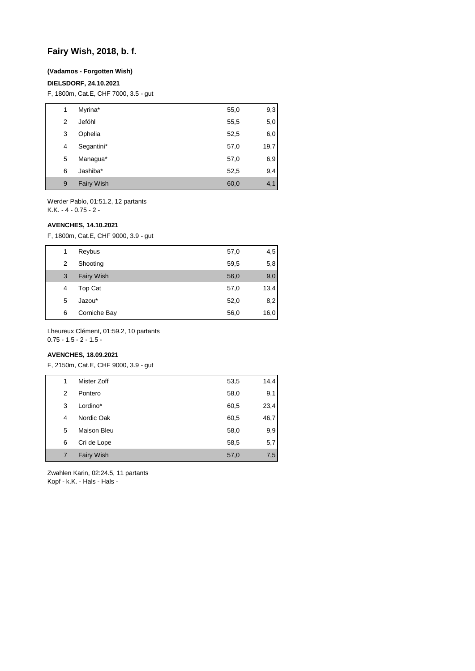# **Fairy Wish, 2018, b. f.**

### **(Vadamos - Forgotten Wish)**

## **DIELSDORF, 24.10.2021**

F, 1800m, Cat.E, CHF 7000, 3.5 - gut

| 1 | Myrina*           | 55,0 | 9,3  |
|---|-------------------|------|------|
| 2 | Jeföhl            | 55,5 | 5,0  |
| 3 | Ophelia           | 52,5 | 6,0  |
| 4 | Segantini*        | 57,0 | 19,7 |
| 5 | Managua*          | 57,0 | 6,9  |
| 6 | Jashiba*          | 52,5 | 9,4  |
| 9 | <b>Fairy Wish</b> | 60,0 | 4,1  |

Werder Pablo, 01:51.2, 12 partants K.K. - 4 - 0.75 - 2 -

#### **AVENCHES, 14.10.2021**

F, 1800m, Cat.E, CHF 9000, 3.9 - gut

| 1 | Reybus            | 57,0 | 4,5  |
|---|-------------------|------|------|
| 2 | Shooting          | 59,5 | 5,8  |
| 3 | <b>Fairy Wish</b> | 56,0 | 9,0  |
| 4 | Top Cat           | 57,0 | 13,4 |
| 5 | Jazou*            | 52,0 | 8,2  |
| 6 | Corniche Bay      | 56,0 | 16,0 |

Lheureux Clément, 01:59.2, 10 partants 0.75 - 1.5 - 2 - 1.5 -

# **AVENCHES, 18.09.2021**

F, 2150m, Cat.E, CHF 9000, 3.9 - gut

| 1 | Mister Zoff        | 53,5 | 14,4 |
|---|--------------------|------|------|
| 2 | Pontero            | 58,0 | 9,1  |
| 3 | Lordino*           | 60,5 | 23,4 |
| 4 | Nordic Oak         | 60,5 | 46,7 |
| 5 | <b>Maison Bleu</b> | 58,0 | 9,9  |
| 6 | Cri de Lope        | 58,5 | 5,7  |
|   | <b>Fairy Wish</b>  | 57,0 | 7,5  |

Zwahlen Karin, 02:24.5, 11 partants Kopf - k.K. - Hals - Hals -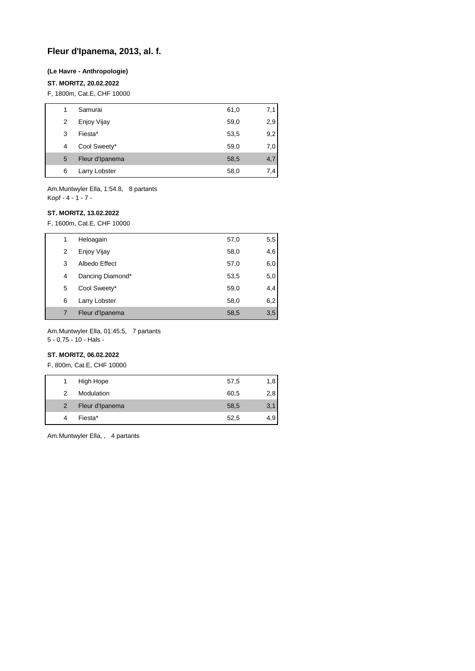# **Fleur d'Ipanema, 2013, al. f.**

### **(Le Havre - Anthropologie)**

## **ST. MORITZ, 20.02.2022**

F, 1800m, Cat.E, CHF 10000

| 1 | Samurai         | 61,0 | 7,1 |
|---|-----------------|------|-----|
| 2 | Enjoy Vijay     | 59,0 | 2,9 |
| 3 | Fiesta*         | 53,5 | 9,2 |
| 4 | Cool Sweety*    | 59,0 | 7,0 |
| 5 | Fleur d'Ipanema | 58,5 | 4,7 |
| 6 | Larry Lobster   | 58,0 | 7,4 |

Am.Muntwyler Ella, 1:54.8, 8 partants Kopf - 4 - 1 - 7 -

#### **ST. MORITZ, 13.02.2022**

F, 1600m, Cat.E, CHF 10000

| 1 | Heloagain        | 57,0 | 5,5 |
|---|------------------|------|-----|
| 2 | Enjoy Vijay      | 58,0 | 4,6 |
| 3 | Albedo Effect    | 57,0 | 6,0 |
| 4 | Dancing Diamond* | 53,5 | 5,0 |
| 5 | Cool Sweety*     | 59,0 | 4,4 |
| 6 | Larry Lobster    | 58,0 | 6,2 |
|   | Fleur d'Ipanema  | 58,5 | 3,5 |

Am.Muntwyler Ella, 01:45.5, 7 partants

5 - 0.75 - 10 - Hals -

# **ST. MORITZ, 06.02.2022**

F, 800m, Cat.E, CHF 10000

| 1              | High Hope       | 57,5 | 1,8 |
|----------------|-----------------|------|-----|
| 2              | Modulation      | 60,5 | 2,8 |
| $\overline{2}$ | Fleur d'Ipanema | 58,5 | 3,1 |
| 4              | Fiesta*         | 52,5 | 4,9 |

Am.Muntwyler Ella, , 4 partants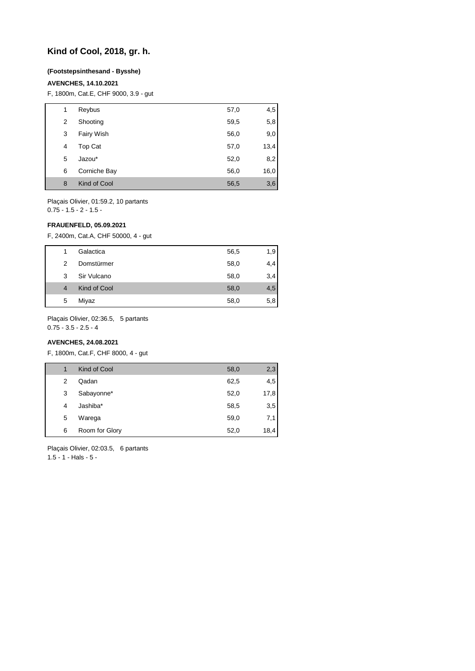# **Kind of Cool, 2018, gr. h.**

# **(Footstepsinthesand - Bysshe)**

### **AVENCHES, 14.10.2021**

F, 1800m, Cat.E, CHF 9000, 3.9 - gut

| 1 | Reybus       | 57,0 | 4,5  |
|---|--------------|------|------|
| 2 | Shooting     | 59,5 | 5,8  |
| 3 | Fairy Wish   | 56,0 | 9,0  |
| 4 | Top Cat      | 57,0 | 13,4 |
| 5 | Jazou*       | 52,0 | 8,2  |
| 6 | Corniche Bay | 56,0 | 16,0 |
| 8 | Kind of Cool | 56,5 | 3,6  |

Plaçais Olivier, 01:59.2, 10 partants 0.75 - 1.5 - 2 - 1.5 -

## **FRAUENFELD, 05.09.2021**

F, 2400m, Cat.A, CHF 50000, 4 - gut

| 1 | Galactica    | 56,5 | 1,9 |
|---|--------------|------|-----|
| 2 | Domstürmer   | 58,0 | 4,4 |
| 3 | Sir Vulcano  | 58,0 | 3,4 |
| 4 | Kind of Cool | 58,0 | 4,5 |
| 5 | Miyaz        | 58,0 | 5,8 |

Plaçais Olivier, 02:36.5, 5 partants

 $0.75 - 3.5 - 2.5 - 4$ 

# **AVENCHES, 24.08.2021**

F, 1800m, Cat.F, CHF 8000, 4 - gut

| 1 | Kind of Cool   | 58,0 | 2,3  |
|---|----------------|------|------|
| 2 | Qadan          | 62,5 | 4,5  |
| 3 | Sabayonne*     | 52,0 | 17,8 |
| 4 | Jashiba*       | 58,5 | 3,5  |
| 5 | Warega         | 59,0 | 7,1  |
| 6 | Room for Glory | 52,0 | 18,4 |

Plaçais Olivier, 02:03.5, 6 partants 1.5 - 1 - Hals - 5 -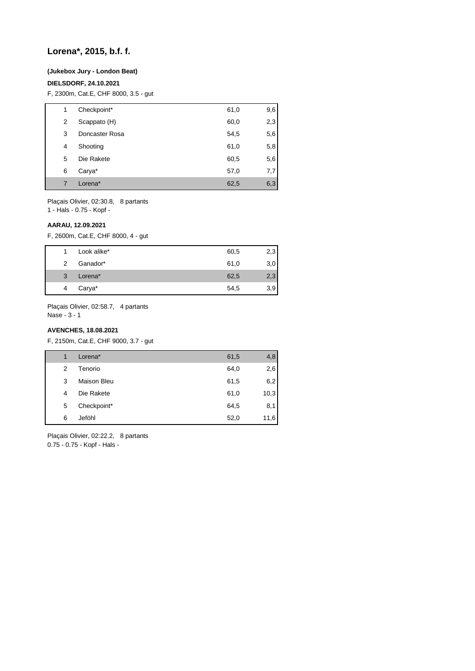# **Lorena\*, 2015, b.f. f.**

#### **(Jukebox Jury - London Beat)**

## **DIELSDORF, 24.10.2021**

F, 2300m, Cat.E, CHF 8000, 3.5 - gut

| 1 | Checkpoint*    | 61,0 | 9,6 |
|---|----------------|------|-----|
| 2 | Scappato (H)   | 60,0 | 2,3 |
| 3 | Doncaster Rosa | 54,5 | 5,6 |
| 4 | Shooting       | 61,0 | 5,8 |
| 5 | Die Rakete     | 60,5 | 5,6 |
| 6 | Carya*         | 57,0 | 7,7 |
| 7 | Lorena*        | 62,5 | 6,3 |

Plaçais Olivier, 02:30.8, 8 partants

1 - Hals - 0.75 - Kopf -

#### **AARAU, 12.09.2021**

F, 2600m, Cat.E, CHF 8000, 4 - gut

|   | Look alike* | 60,5 | 2,3 |
|---|-------------|------|-----|
| 2 | Ganador*    | 61,0 | 3,0 |
| 3 | Lorena*     | 62,5 | 2,3 |
| 4 | Carya*      | 54,5 | 3,9 |

Plaçais Olivier, 02:58.7, 4 partants Nase - 3 - 1

# **AVENCHES, 18.08.2021**

F, 2150m, Cat.E, CHF 9000, 3.7 - gut

| 1 | Lorena*            | 61,5 | 4,8  |
|---|--------------------|------|------|
| 2 | Tenorio            | 64,0 | 2,6  |
| 3 | <b>Maison Bleu</b> | 61,5 | 6,2  |
| 4 | Die Rakete         | 61,0 | 10,3 |
| 5 | Checkpoint*        | 64,5 | 8,1  |
| 6 | Jeföhl             | 52,0 | 11,6 |

Plaçais Olivier, 02:22.2, 8 partants 0.75 - 0.75 - Kopf - Hals -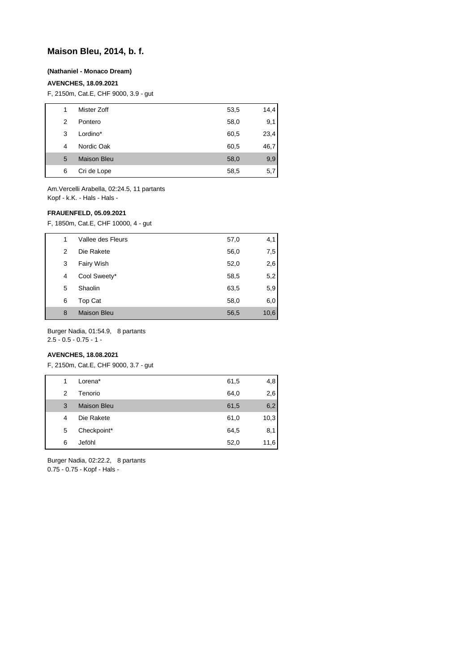# **Maison Bleu, 2014, b. f.**

### **(Nathaniel - Monaco Dream)**

## **AVENCHES, 18.09.2021**

F, 2150m, Cat.E, CHF 9000, 3.9 - gut

| 1 | Mister Zoff        | 53,5 | 14,4 |
|---|--------------------|------|------|
| 2 | Pontero            | 58,0 | 9,1  |
| 3 | Lordino*           | 60,5 | 23,4 |
| 4 | Nordic Oak         | 60,5 | 46,7 |
| 5 | <b>Maison Bleu</b> | 58,0 | 9,9  |
| 6 | Cri de Lope        | 58,5 | 5,7  |

Am.Vercelli Arabella, 02:24.5, 11 partants Kopf - k.K. - Hals - Hals -

#### **FRAUENFELD, 05.09.2021**

F, 1850m, Cat.E, CHF 10000, 4 - gut

| 1 | Vallee des Fleurs  | 57,0 | 4,1  |
|---|--------------------|------|------|
| 2 | Die Rakete         | 56,0 | 7,5  |
| 3 | Fairy Wish         | 52,0 | 2,6  |
| 4 | Cool Sweety*       | 58,5 | 5,2  |
| 5 | Shaolin            | 63,5 | 5,9  |
| 6 | Top Cat            | 58,0 | 6,0  |
| 8 | <b>Maison Bleu</b> | 56,5 | 10,6 |

Burger Nadia, 01:54.9, 8 partants 2.5 - 0.5 - 0.75 - 1 -

# **AVENCHES, 18.08.2021**

F, 2150m, Cat.E, CHF 9000, 3.7 - gut

| 1 | Lorena*            | 61,5 | 4,8  |
|---|--------------------|------|------|
| 2 | Tenorio            | 64,0 | 2,6  |
| 3 | <b>Maison Bleu</b> | 61,5 | 6,2  |
| 4 | Die Rakete         | 61,0 | 10,3 |
| 5 | Checkpoint*        | 64,5 | 8,1  |
| 6 | Jeföhl             | 52,0 | 11,6 |

Burger Nadia, 02:22.2, 8 partants 0.75 - 0.75 - Kopf - Hals -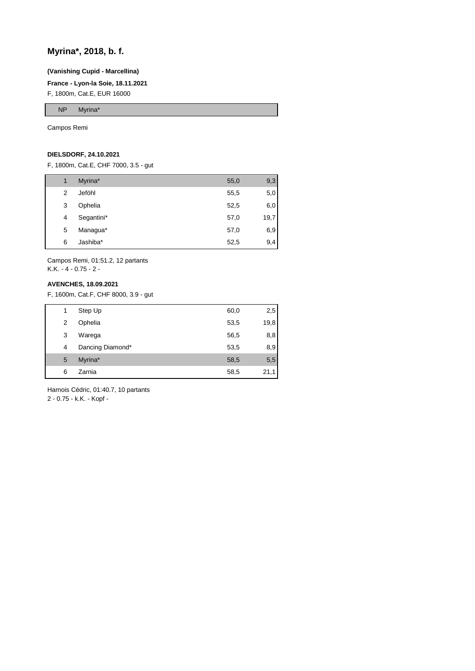# **Myrina\*, 2018, b. f.**

# **(Vanishing Cupid - Marcellina)**

# **France - Lyon-la Soie, 18.11.2021**

F, 1800m, Cat.E, EUR 16000

NP Myrina\*

Campos Remi

# **DIELSDORF, 24.10.2021**

F, 1800m, Cat.E, CHF 7000, 3.5 - gut

| 1 | Myrina*    | 55,0 | 9,3  |
|---|------------|------|------|
| 2 | Jeföhl     | 55,5 | 5,0  |
| 3 | Ophelia    | 52,5 | 6,0  |
| 4 | Segantini* | 57,0 | 19,7 |
| 5 | Managua*   | 57,0 | 6,9  |
| 6 | Jashiba*   | 52,5 | 9,4  |

Campos Remi, 01:51.2, 12 partants K.K. - 4 - 0.75 - 2 -

## **AVENCHES, 18.09.2021**

F, 1600m, Cat.F, CHF 8000, 3.9 - gut

| 1 | Step Up          | 60,0 | 2,5  |
|---|------------------|------|------|
| 2 | Ophelia          | 53,5 | 19,8 |
| 3 | Warega           | 56,5 | 8,8  |
| 4 | Dancing Diamond* | 53,5 | 8,9  |
| 5 | Myrina*          | 58,5 | 5,5  |
| 6 | Zarnia           | 58,5 | 21,1 |

Harnois Cédric, 01:40.7, 10 partants 2 - 0.75 - k.K. - Kopf -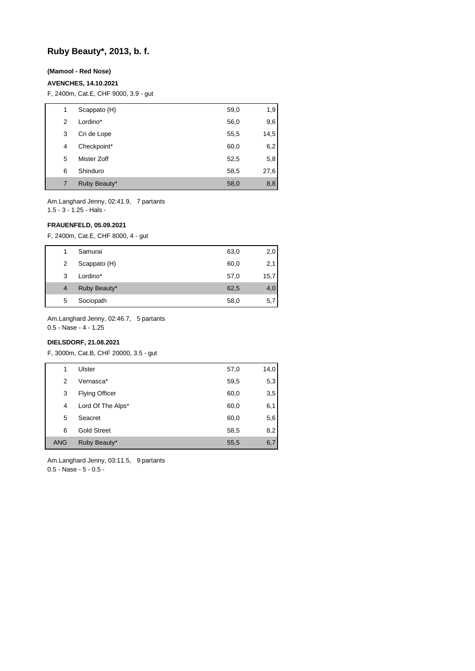# **Ruby Beauty\*, 2013, b. f.**

## **(Mamool - Red Nose)**

### **AVENCHES, 14.10.2021**

F, 2400m, Cat.E, CHF 9000, 3.9 - gut

| 1 | Scappato (H) | 59,0 | 1,9  |
|---|--------------|------|------|
| 2 | Lordino*     | 56,0 | 9,6  |
| 3 | Cri de Lope  | 55,5 | 14,5 |
| 4 | Checkpoint*  | 60,0 | 6,2  |
| 5 | Mister Zoff  | 52,5 | 5,8  |
| 6 | Shinduro     | 58,5 | 27,6 |
| 7 | Ruby Beauty* | 58,0 | 8,8  |

Am.Langhard Jenny, 02:41.9, 7 partants 1.5 - 3 - 1.25 - Hals -

# **FRAUENFELD, 05.09.2021**

F, 2400m, Cat.E, CHF 8000, 4 - gut

|   | Samurai      | 63,0 | 2,0  |
|---|--------------|------|------|
| 2 | Scappato (H) | 60,0 | 2,1  |
| 3 | Lordino*     | 57,0 | 15,7 |
| 4 | Ruby Beauty* | 62,5 | 4,0  |
| 5 | Sociopath    | 58,0 | 5,7  |
|   |              |      |      |

Am.Langhard Jenny, 02:46.7, 5 partants

0.5 - Nase - 4 - 1.25

# **DIELSDORF, 21.08.2021**

F, 3000m, Cat.B, CHF 20000, 3.5 - gut

| 1          | Ulster                | 57,0 | 14,0 |
|------------|-----------------------|------|------|
| 2          | Vernasca*             | 59,5 | 5,3  |
| 3          | <b>Flying Officer</b> | 60,0 | 3,5  |
| 4          | Lord Of The Alps*     | 60,0 | 6,1  |
| 5          | Seacret               | 60,0 | 5,6  |
| 6          | <b>Gold Street</b>    | 58,5 | 8,2  |
| <b>ANG</b> | Ruby Beauty*          | 55,5 | 6,7  |

Am.Langhard Jenny, 03:11.5, 9 partants 0.5 - Nase - 5 - 0.5 -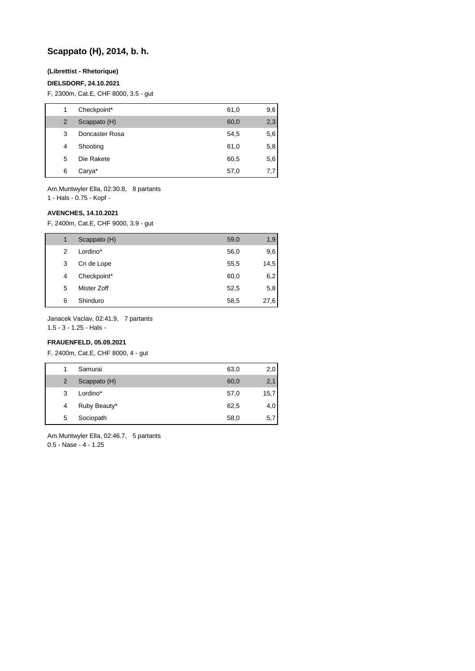# **Scappato (H), 2014, b. h.**

# **(Librettist - Rhetorique)**

### **DIELSDORF, 24.10.2021**

F, 2300m, Cat.E, CHF 8000, 3.5 - gut

| 1 | Checkpoint*    | 61,0 | 9,6 |
|---|----------------|------|-----|
| 2 | Scappato (H)   | 60,0 | 2,3 |
| 3 | Doncaster Rosa | 54,5 | 5,6 |
| 4 | Shooting       | 61,0 | 5,8 |
| 5 | Die Rakete     | 60,5 | 5,6 |
| 6 | Carya*         | 57,0 | 7,7 |

Am.Muntwyler Ella, 02:30.8, 8 partants

1 - Hals - 0.75 - Kopf -

# **AVENCHES, 14.10.2021**

F, 2400m, Cat.E, CHF 9000, 3.9 - gut

|   | Scappato (H) | 59,0 | 1,9  |
|---|--------------|------|------|
| 2 | Lordino*     | 56,0 | 9,6  |
| 3 | Cri de Lope  | 55,5 | 14,5 |
| 4 | Checkpoint*  | 60,0 | 6,2  |
| 5 | Mister Zoff  | 52,5 | 5,8  |
| 6 | Shinduro     | 58,5 | 27,6 |

Janacek Vaclav, 02:41.9, 7 partants

1.5 - 3 - 1.25 - Hals -

# **FRAUENFELD, 05.09.2021**

F, 2400m, Cat.E, CHF 8000, 4 - gut

| 1              | Samurai      | 63,0 | 2,0  |
|----------------|--------------|------|------|
| $\overline{2}$ | Scappato (H) | 60,0 | 2,1  |
| 3              | Lordino*     | 57,0 | 15,7 |
| 4              | Ruby Beauty* | 62,5 | 4,0  |
| 5              | Sociopath    | 58,0 | 5,7  |

Am.Muntwyler Ella, 02:46.7, 5 partants 0.5 - Nase - 4 - 1.25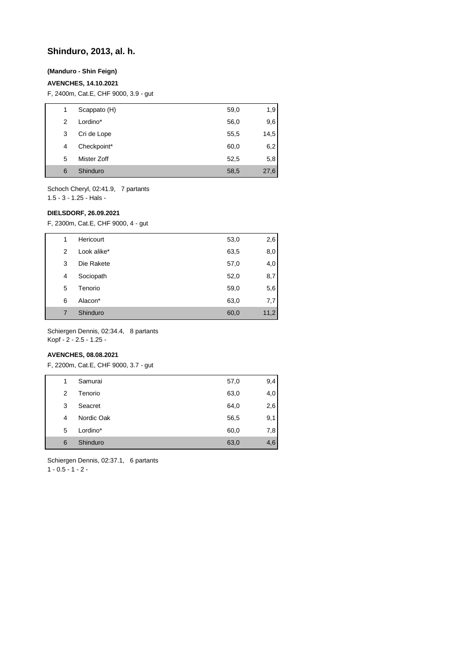# **Shinduro, 2013, al. h.**

# **(Manduro - Shin Feign)**

# **AVENCHES, 14.10.2021**

F, 2400m, Cat.E, CHF 9000, 3.9 - gut

| 1 | Scappato (H) | 59,0 | 1,9  |
|---|--------------|------|------|
| 2 | Lordino*     | 56,0 | 9,6  |
| 3 | Cri de Lope  | 55,5 | 14,5 |
| 4 | Checkpoint*  | 60,0 | 6,2  |
| 5 | Mister Zoff  | 52,5 | 5,8  |
| 6 | Shinduro     | 58,5 | 27,6 |
|   |              |      |      |

Schoch Cheryl, 02:41.9, 7 partants 1.5 - 3 - 1.25 - Hals -

#### **DIELSDORF, 26.09.2021**

F, 2300m, Cat.E, CHF 9000, 4 - gut

| 1 | Hericourt   | 53,0 | 2,6  |
|---|-------------|------|------|
| 2 | Look alike* | 63,5 | 8,0  |
| 3 | Die Rakete  | 57,0 | 4,0  |
| 4 | Sociopath   | 52,0 | 8,7  |
| 5 | Tenorio     | 59,0 | 5,6  |
| 6 | Alacon*     | 63,0 | 7,7  |
| 7 | Shinduro    | 60,0 | 11,2 |

Schiergen Dennis, 02:34.4, 8 partants Kopf - 2 - 2.5 - 1.25 -

# **AVENCHES, 08.08.2021**

F, 2200m, Cat.E, CHF 9000, 3.7 - gut

| 1 | Samurai    | 57,0 | 9,4 |
|---|------------|------|-----|
| 2 | Tenorio    | 63,0 | 4,0 |
| 3 | Seacret    | 64,0 | 2,6 |
| 4 | Nordic Oak | 56,5 | 9,1 |
| 5 | Lordino*   | 60,0 | 7,8 |
| 6 | Shinduro   | 63,0 | 4,6 |

Schiergen Dennis, 02:37.1, 6 partants  $1 - 0.5 - 1 - 2 -$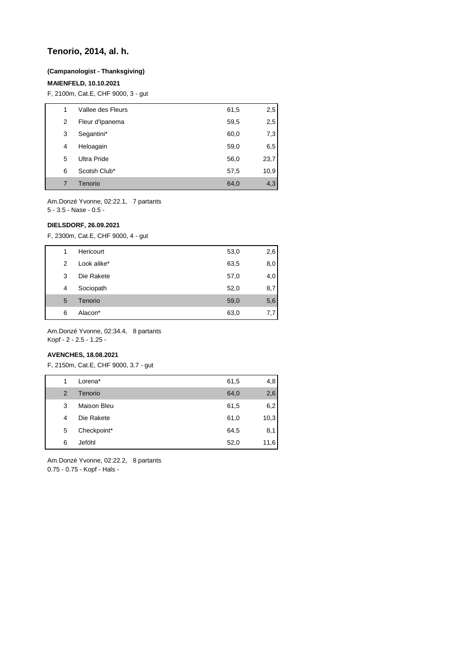# **Tenorio, 2014, al. h.**

### **(Campanologist - Thanksgiving)**

## **MAIENFELD, 10.10.2021**

F, 2100m, Cat.E, CHF 9000, 3 - gut

| 1 | Vallee des Fleurs | 61,5 | 2,5  |
|---|-------------------|------|------|
| 2 | Fleur d'Ipanema   | 59,5 | 2,5  |
| 3 | Segantini*        | 60,0 | 7,3  |
| 4 | Heloagain         | 59,0 | 6,5  |
| 5 | Ultra Pride       | 56,0 | 23,7 |
| 6 | Scotsh Club*      | 57,5 | 10,9 |
| 7 | Tenorio           | 64,0 | 4,3  |

Am.Donzé Yvonne, 02:22.1, 7 partants 5 - 3.5 - Nase - 0.5 -

#### **DIELSDORF, 26.09.2021**

F, 2300m, Cat.E, CHF 9000, 4 - gut

| 1 | Hericourt   | 53,0 | 2,6 |
|---|-------------|------|-----|
| 2 | Look alike* | 63,5 | 8,0 |
| 3 | Die Rakete  | 57,0 | 4,0 |
| 4 | Sociopath   | 52,0 | 8,7 |
| 5 | Tenorio     | 59,0 | 5,6 |
| 6 | Alacon*     | 63,0 | 7,7 |

Am.Donzé Yvonne, 02:34.4, 8 partants Kopf - 2 - 2.5 - 1.25 -

# **AVENCHES, 18.08.2021**

F, 2150m, Cat.E, CHF 9000, 3.7 - gut

| 1              | Lorena*     | 61,5 | 4,8  |
|----------------|-------------|------|------|
| $\overline{2}$ | Tenorio     | 64,0 | 2,6  |
| 3              | Maison Bleu | 61,5 | 6,2  |
| 4              | Die Rakete  | 61,0 | 10,3 |
| 5              | Checkpoint* | 64,5 | 8,1  |
| 6              | Jeföhl      | 52,0 | 11,6 |

Am.Donzé Yvonne, 02:22.2, 8 partants 0.75 - 0.75 - Kopf - Hals -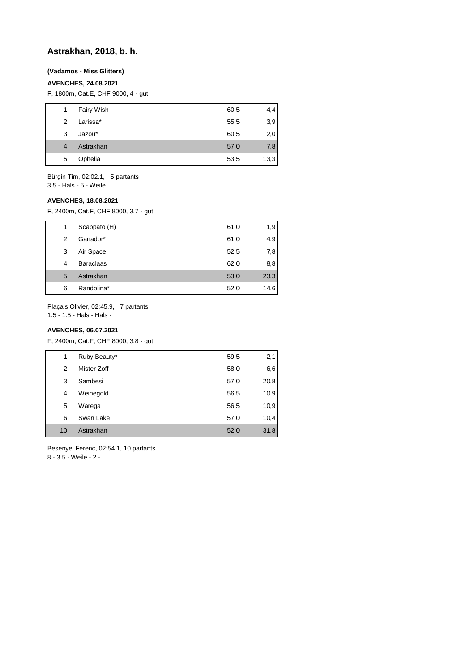# **Astrakhan, 2018, b. h.**

# **(Vadamos - Miss Glitters)**

# **AVENCHES, 24.08.2021**

F, 1800m, Cat.E, CHF 9000, 4 - gut

| 1              | Fairy Wish | 60,5 | 4,4  |
|----------------|------------|------|------|
| $\mathcal{P}$  | Larissa*   | 55,5 | 3,9  |
| 3              | Jazou*     | 60,5 | 2,0  |
| $\overline{4}$ | Astrakhan  | 57,0 | 7,8  |
| 5              | Ophelia    | 53,5 | 13,3 |
|                |            |      |      |

Bürgin Tim, 02:02.1, 5 partants

3.5 - Hals - 5 - Weile

# **AVENCHES, 18.08.2021**

F, 2400m, Cat.F, CHF 8000, 3.7 - gut

| 1 | Scappato (H)     | 61,0 | 1,9  |
|---|------------------|------|------|
| 2 | Ganador*         | 61,0 | 4,9  |
| 3 | Air Space        | 52,5 | 7,8  |
| 4 | <b>Baraclaas</b> | 62,0 | 8,8  |
| 5 | Astrakhan        | 53,0 | 23,3 |
| 6 | Randolina*       | 52,0 | 14,6 |

Plaçais Olivier, 02:45.9, 7 partants 1.5 - 1.5 - Hals - Hals -

# **AVENCHES, 06.07.2021**

F, 2400m, Cat.F, CHF 8000, 3.8 - gut

|    | 1 | Ruby Beauty* | 59,5 | 2,1  |
|----|---|--------------|------|------|
|    | 2 | Mister Zoff  | 58,0 | 6,6  |
|    | 3 | Sambesi      | 57,0 | 20,8 |
|    | 4 | Weihegold    | 56,5 | 10,9 |
|    | 5 | Warega       | 56,5 | 10,9 |
|    | 6 | Swan Lake    | 57,0 | 10,4 |
| 10 |   | Astrakhan    | 52,0 | 31,8 |

Besenyei Ferenc, 02:54.1, 10 partants

8 - 3.5 - Weile - 2 -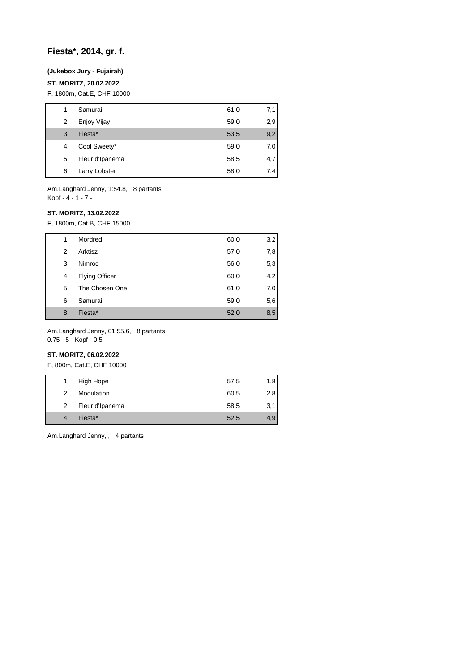# **Fiesta\*, 2014, gr. f.**

# **(Jukebox Jury - Fujairah)**

# **ST. MORITZ, 20.02.2022**

F, 1800m, Cat.E, CHF 10000

| 1 | Samurai         | 61,0 | 7,1 |
|---|-----------------|------|-----|
| 2 | Enjoy Vijay     | 59,0 | 2,9 |
| 3 | Fiesta*         | 53,5 | 9,2 |
| 4 | Cool Sweety*    | 59,0 | 7,0 |
| 5 | Fleur d'Ipanema | 58,5 | 4,7 |
| 6 | Larry Lobster   | 58,0 | 7,4 |

Am.Langhard Jenny, 1:54.8, 8 partants Kopf - 4 - 1 - 7 -

### **ST. MORITZ, 13.02.2022**

F, 1800m, Cat.B, CHF 15000

| 1 | Mordred               | 60,0 | 3,2 |
|---|-----------------------|------|-----|
| 2 | Arktisz               | 57,0 | 7,8 |
| 3 | Nimrod                | 56,0 | 5,3 |
| 4 | <b>Flying Officer</b> | 60,0 | 4,2 |
| 5 | The Chosen One        | 61,0 | 7,0 |
| 6 | Samurai               | 59,0 | 5,6 |
| 8 | Fiesta*               | 52,0 | 8,5 |

Am.Langhard Jenny, 01:55.6, 8 partants 0.75 - 5 - Kopf - 0.5 -

# **ST. MORITZ, 06.02.2022**

F, 800m, Cat.E, CHF 10000

| 1. | High Hope       | 57,5 | 1,8 |
|----|-----------------|------|-----|
| 2  | Modulation      | 60,5 | 2,8 |
| 2  | Fleur d'Ipanema | 58,5 | 3,1 |
|    | Fiesta*         | 52,5 | 4,9 |
|    |                 |      |     |

Am.Langhard Jenny, , 4 partants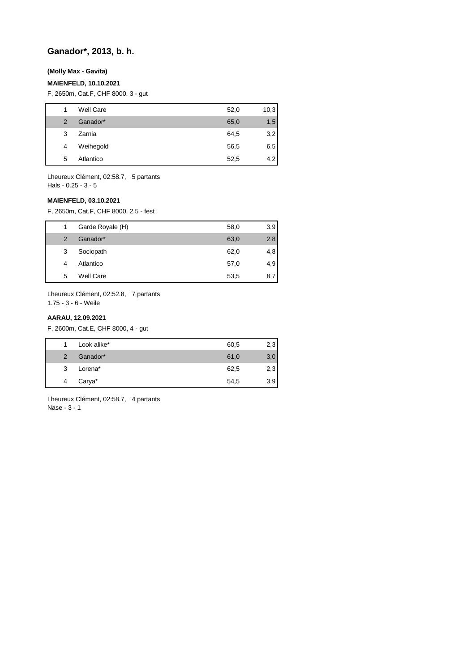# **Ganador\*, 2013, b. h.**

### **(Molly Max - Gavita)**

## **MAIENFELD, 10.10.2021**

F, 2650m, Cat.F, CHF 8000, 3 - gut

| 1             | <b>Well Care</b> | 52,0 | 10,3 |
|---------------|------------------|------|------|
| $\mathcal{P}$ | Ganador*         | 65,0 | 1,5  |
| 3             | Zarnia           | 64,5 | 3,2  |
| 4             | Weihegold        | 56,5 | 6,5  |
| 5             | Atlantico        | 52,5 | 4,2  |
|               |                  |      |      |

Lheureux Clément, 02:58.7, 5 partants Hals - 0.25 - 3 - 5

## **MAIENFELD, 03.10.2021**

F, 2650m, Cat.F, CHF 8000, 2.5 - fest

| 1              | Garde Royale (H) | 58,0 | 3,9 |
|----------------|------------------|------|-----|
| $\overline{2}$ | Ganador*         | 63,0 | 2,8 |
| 3              | Sociopath        | 62,0 | 4,8 |
| 4              | Atlantico        | 57,0 | 4,9 |
| 5              | Well Care        | 53,5 | 8,7 |

Lheureux Clément, 02:52.8, 7 partants

1.75 - 3 - 6 - Weile

## **AARAU, 12.09.2021**

F, 2600m, Cat.E, CHF 8000, 4 - gut

| 1             | Look alike*         | 60,5 | 2,3 |
|---------------|---------------------|------|-----|
| $\mathcal{P}$ | Ganador*            | 61,0 | 3,0 |
| 3             | Lorena <sup>*</sup> | 62,5 | 2,3 |
| 4             | Carya*              | 54,5 | 3,9 |
|               |                     |      |     |

Lheureux Clément, 02:58.7, 4 partants Nase - 3 - 1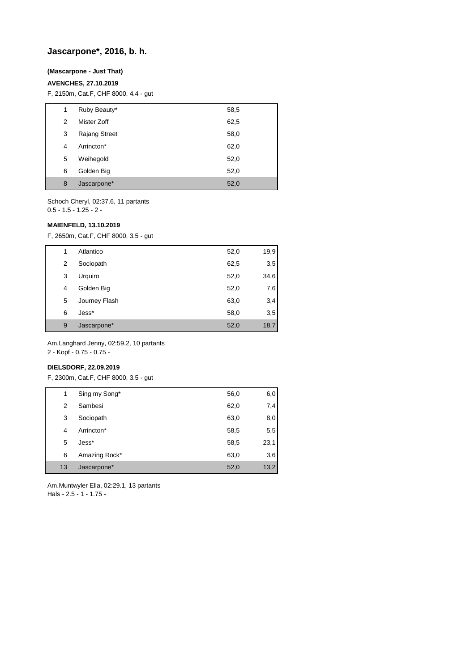# **Jascarpone\*, 2016, b. h.**

## **(Mascarpone - Just That)**

# **AVENCHES, 27.10.2019**

F, 2150m, Cat.F, CHF 8000, 4.4 - gut

| 1 | Ruby Beauty*         | 58,5 |
|---|----------------------|------|
| 2 | Mister Zoff          | 62,5 |
| 3 | <b>Rajang Street</b> | 58,0 |
| 4 | Arrincton*           | 62,0 |
| 5 | Weihegold            | 52,0 |
| 6 | Golden Big           | 52,0 |
| 8 | Jascarpone*          | 52,0 |

Schoch Cheryl, 02:37.6, 11 partants 0.5 - 1.5 - 1.25 - 2 -

# **MAIENFELD, 13.10.2019**

F, 2650m, Cat.F, CHF 8000, 3.5 - gut

| 1 | Atlantico     | 52,0 | 19,9 |
|---|---------------|------|------|
| 2 | Sociopath     | 62,5 | 3,5  |
| 3 | Urquiro       | 52,0 | 34,6 |
| 4 | Golden Big    | 52,0 | 7,6  |
| 5 | Journey Flash | 63,0 | 3,4  |
| 6 | Jess*         | 58,0 | 3,5  |
| 9 | Jascarpone*   | 52,0 | 18,7 |

Am.Langhard Jenny, 02:59.2, 10 partants 2 - Kopf - 0.75 - 0.75 -

#### **DIELSDORF, 22.09.2019**

F, 2300m, Cat.F, CHF 8000, 3.5 - gut

| 1  | Sing my Song* | 56,0 | 6,0  |
|----|---------------|------|------|
| 2  | Sambesi       | 62,0 | 7,4  |
| 3  | Sociopath     | 63,0 | 8,0  |
| 4  | Arrincton*    | 58,5 | 5,5  |
| 5  | Jess*         | 58,5 | 23,1 |
| 6  | Amazing Rock* | 63,0 | 3,6  |
| 13 | Jascarpone*   | 52,0 | 13,2 |

Am.Muntwyler Ella, 02:29.1, 13 partants Hals - 2.5 - 1 - 1.75 -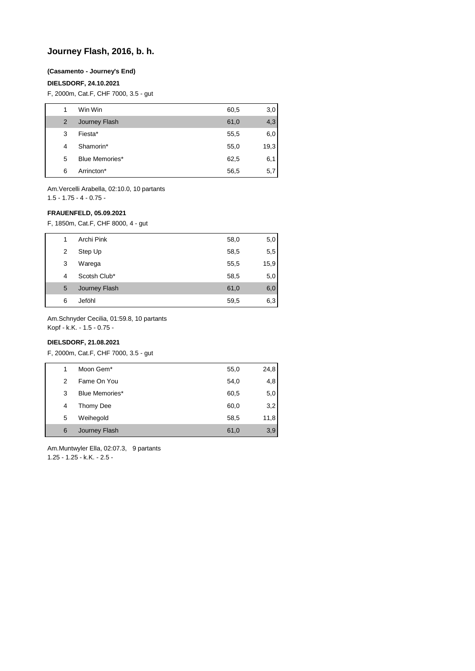# **Journey Flash, 2016, b. h.**

### **(Casamento - Journey's End)**

## **DIELSDORF, 24.10.2021**

F, 2000m, Cat.F, CHF 7000, 3.5 - gut

| 1 | Win Win        | 60,5 | 3,0  |
|---|----------------|------|------|
| 2 | Journey Flash  | 61,0 | 4,3  |
| 3 | Fiesta*        | 55,5 | 6,0  |
| 4 | Shamorin*      | 55,0 | 19,3 |
| 5 | Blue Memories* | 62,5 | 6,1  |
| 6 | Arrincton*     | 56,5 | 5,7  |

Am.Vercelli Arabella, 02:10.0, 10 partants 1.5 - 1.75 - 4 - 0.75 -

### **FRAUENFELD, 05.09.2021**

F, 1850m, Cat.F, CHF 8000, 4 - gut

| 1 | Archi Pink    | 58,0 | 5,0  |
|---|---------------|------|------|
| 2 | Step Up       | 58,5 | 5,5  |
| 3 | Warega        | 55,5 | 15,9 |
| 4 | Scotsh Club*  | 58,5 | 5,0  |
| 5 | Journey Flash | 61,0 | 6,0  |
| 6 | Jeföhl        | 59,5 | 6,3  |

Am.Schnyder Cecilia, 01:59.8, 10 partants

Kopf - k.K. - 1.5 - 0.75 -

# **DIELSDORF, 21.08.2021**

F, 2000m, Cat.F, CHF 7000, 3.5 - gut

| 1 | Moon Gem*      | 55,0 | 24,8 |
|---|----------------|------|------|
| 2 | Fame On You    | 54,0 | 4,8  |
| 3 | Blue Memories* | 60,5 | 5,0  |
| 4 | Thomy Dee      | 60,0 | 3,2  |
| 5 | Weihegold      | 58,5 | 11,8 |
| 6 | Journey Flash  | 61,0 | 3,9  |

Am.Muntwyler Ella, 02:07.3, 9 partants 1.25 - 1.25 - k.K. - 2.5 -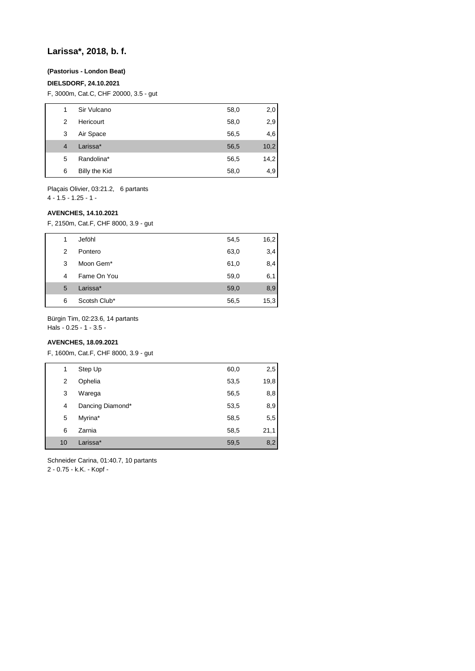# **Larissa\*, 2018, b. f.**

# **(Pastorius - London Beat)**

## **DIELSDORF, 24.10.2021**

F, 3000m, Cat.C, CHF 20000, 3.5 - gut

| 1 | Sir Vulcano   | 58,0 | 2,0  |
|---|---------------|------|------|
| 2 | Hericourt     | 58,0 | 2,9  |
| 3 | Air Space     | 56,5 | 4,6  |
| 4 | Larissa*      | 56,5 | 10,2 |
| 5 | Randolina*    | 56,5 | 14,2 |
| 6 | Billy the Kid | 58,0 | 4,9  |
|   |               |      |      |

Plaçais Olivier, 03:21.2, 6 partants  $4 - 1.5 - 1.25 - 1$ 

# **AVENCHES, 14.10.2021**

F, 2150m, Cat.F, CHF 8000, 3.9 - gut

| 1 | Jeföhl                | 54,5 | 16,2 |
|---|-----------------------|------|------|
| 2 | Pontero               | 63,0 | 3,4  |
| 3 | Moon Gem <sup>*</sup> | 61,0 | 8,4  |
| 4 | Fame On You           | 59,0 | 6,1  |
| 5 | Larissa*              | 59,0 | 8,9  |
| 6 | Scotsh Club*          | 56,5 | 15,3 |

Bürgin Tim, 02:23.6, 14 partants

Hals - 0.25 - 1 - 3.5 -

# **AVENCHES, 18.09.2021**

F, 1600m, Cat.F, CHF 8000, 3.9 - gut

| 1  | Step Up          | 60,0 | 2,5  |
|----|------------------|------|------|
| 2  | Ophelia          | 53,5 | 19,8 |
| 3  | Warega           | 56,5 | 8,8  |
| 4  | Dancing Diamond* | 53,5 | 8,9  |
| 5  | Myrina*          | 58,5 | 5,5  |
| 6  | Zarnia           | 58,5 | 21,1 |
| 10 | Larissa*         | 59,5 | 8,2  |

Schneider Carina, 01:40.7, 10 partants

2 - 0.75 - k.K. - Kopf -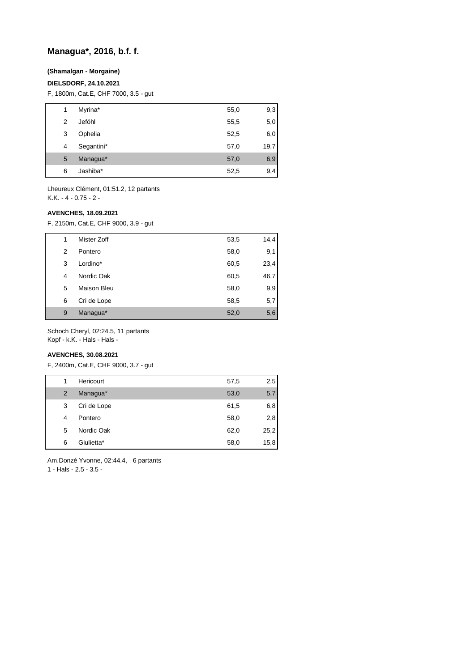# **Managua\*, 2016, b.f. f.**

# **(Shamalgan - Morgaine)**

### **DIELSDORF, 24.10.2021**

F, 1800m, Cat.E, CHF 7000, 3.5 - gut

| 1 | Myrina*    | 55,0 | 9,3  |
|---|------------|------|------|
| 2 | Jeföhl     | 55,5 | 5,0  |
| 3 | Ophelia    | 52,5 | 6,0  |
| 4 | Segantini* | 57,0 | 19,7 |
| 5 | Managua*   | 57,0 | 6,9  |
| 6 | Jashiba*   | 52,5 | 9,4  |

Lheureux Clément, 01:51.2, 12 partants K.K. - 4 - 0.75 - 2 -

#### **AVENCHES, 18.09.2021**

F, 2150m, Cat.E, CHF 9000, 3.9 - gut

| 1 | Mister Zoff | 53,5 | 14,4 |
|---|-------------|------|------|
| 2 | Pontero     | 58,0 | 9,1  |
| 3 | Lordino*    | 60,5 | 23,4 |
| 4 | Nordic Oak  | 60,5 | 46,7 |
| 5 | Maison Bleu | 58,0 | 9,9  |
| 6 | Cri de Lope | 58,5 | 5,7  |
| 9 | Managua*    | 52,0 | 5,6  |

Schoch Cheryl, 02:24.5, 11 partants Kopf - k.K. - Hals - Hals -

# **AVENCHES, 30.08.2021**

F, 2400m, Cat.E, CHF 9000, 3.7 - gut

| 1 | Hericourt   | 57,5 | 2,5  |
|---|-------------|------|------|
| 2 | Managua*    | 53,0 | 5,7  |
| 3 | Cri de Lope | 61,5 | 6,8  |
| 4 | Pontero     | 58,0 | 2,8  |
| 5 | Nordic Oak  | 62,0 | 25,2 |
| 6 | Giulietta*  | 58,0 | 15,8 |

Am.Donzé Yvonne, 02:44.4, 6 partants 1 - Hals - 2.5 - 3.5 -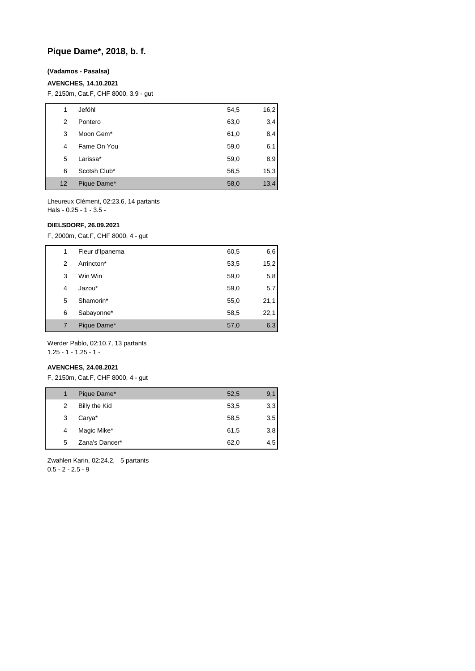# **Pique Dame\*, 2018, b. f.**

## **(Vadamos - Pasalsa)**

### **AVENCHES, 14.10.2021**

F, 2150m, Cat.F, CHF 8000, 3.9 - gut

| 1  | Jeföhl       | 54,5 | 16,2 |
|----|--------------|------|------|
| 2  | Pontero      | 63,0 | 3,4  |
| 3  | Moon Gem*    | 61,0 | 8,4  |
| 4  | Fame On You  | 59,0 | 6,1  |
| 5  | Larissa*     | 59,0 | 8,9  |
| 6  | Scotsh Club* | 56,5 | 15,3 |
| 12 | Pique Dame*  | 58,0 | 13,4 |

Lheureux Clément, 02:23.6, 14 partants Hals - 0.25 - 1 - 3.5 -

# **DIELSDORF, 26.09.2021**

F, 2000m, Cat.F, CHF 8000, 4 - gut

| 1 | Fleur d'Ipanema | 60,5 | 6,6  |
|---|-----------------|------|------|
| 2 | Arrincton*      | 53,5 | 15,2 |
| 3 | Win Win         | 59,0 | 5,8  |
| 4 | Jazou*          | 59,0 | 5,7  |
| 5 | Shamorin*       | 55,0 | 21,1 |
| 6 | Sabayonne*      | 58,5 | 22,1 |
| 7 | Pique Dame*     | 57,0 | 6,3  |

Werder Pablo, 02:10.7, 13 partants 1.25 - 1 - 1.25 - 1 -

#### **AVENCHES, 24.08.2021**

F, 2150m, Cat.F, CHF 8000, 4 - gut

|   | Pique Dame*    | 52,5 | 9,1 |
|---|----------------|------|-----|
| 2 | Billy the Kid  | 53,5 | 3,3 |
| 3 | Carya*         | 58,5 | 3,5 |
| 4 | Magic Mike*    | 61,5 | 3,8 |
| 5 | Zana's Dancer* | 62,0 | 4,5 |

Zwahlen Karin, 02:24.2, 5 partants  $0.5 - 2 - 2.5 - 9$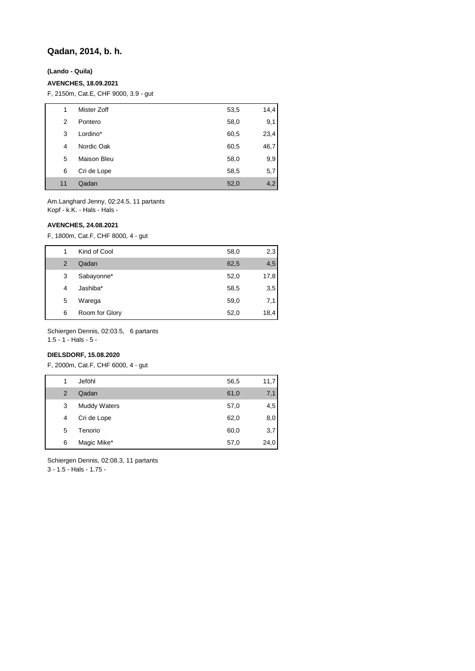# **Qadan, 2014, b. h.**

**(Lando - Quila)**

# **AVENCHES, 18.09.2021**

F, 2150m, Cat.E, CHF 9000, 3.9 - gut

| 1  | Mister Zoff        | 53,5 | 14,4 |
|----|--------------------|------|------|
| 2  | Pontero            | 58,0 | 9,1  |
| 3  | Lordino*           | 60,5 | 23,4 |
| 4  | Nordic Oak         | 60,5 | 46,7 |
| 5  | <b>Maison Bleu</b> | 58,0 | 9,9  |
| 6  | Cri de Lope        | 58,5 | 5,7  |
| 11 | Qadan              | 52,0 | 4,2  |

Am.Langhard Jenny, 02:24.5, 11 partants Kopf - k.K. - Hals - Hals -

# **AVENCHES, 24.08.2021**

F, 1800m, Cat.F, CHF 8000, 4 - gut

|   | Kind of Cool   | 58,0 | 2,3  |
|---|----------------|------|------|
| 2 | Qadan          | 62,5 | 4,5  |
| 3 | Sabayonne*     | 52,0 | 17,8 |
| 4 | Jashiba*       | 58,5 | 3,5  |
| 5 | Warega         | 59,0 | 7,1  |
| 6 | Room for Glory | 52,0 | 18,4 |

Schiergen Dennis, 02:03.5, 6 partants

1.5 - 1 - Hals - 5 -

# **DIELSDORF, 15.08.2020**

F, 2000m, Cat.F, CHF 6000, 4 - gut

| 1              | Jeföhl              | 56,5 | 11,7 |
|----------------|---------------------|------|------|
| $\overline{2}$ | Qadan               | 61,0 | 7,1  |
| 3              | <b>Muddy Waters</b> | 57,0 | 4,5  |
| 4              | Cri de Lope         | 62,0 | 8,0  |
| 5              | Tenorio             | 60,0 | 3,7  |
| 6              | Magic Mike*         | 57,0 | 24,0 |

Schiergen Dennis, 02:08.3, 11 partants

3 - 1.5 - Hals - 1.75 -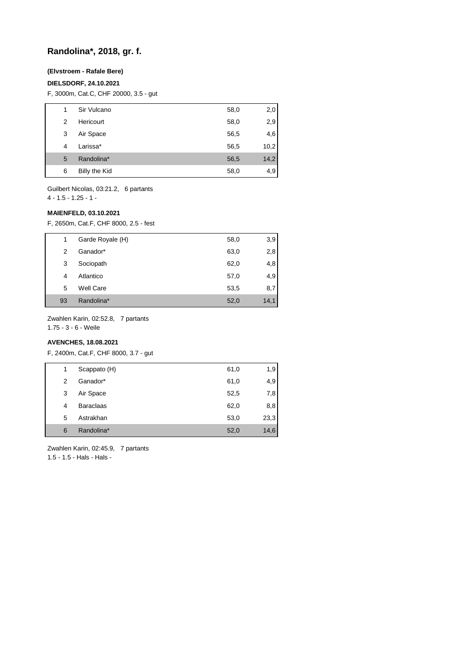# **Randolina\*, 2018, gr. f.**

# **(Elvstroem - Rafale Bere)**

## **DIELSDORF, 24.10.2021**

F, 3000m, Cat.C, CHF 20000, 3.5 - gut

| 1 | Sir Vulcano   | 58,0 | 2,0  |
|---|---------------|------|------|
| 2 | Hericourt     | 58,0 | 2,9  |
| 3 | Air Space     | 56,5 | 4,6  |
| 4 | Larissa*      | 56,5 | 10,2 |
| 5 | Randolina*    | 56,5 | 14,2 |
| 6 | Billy the Kid | 58,0 | 4,9  |

Guilbert Nicolas, 03:21.2, 6 partants 4 - 1.5 - 1.25 - 1 -

#### **MAIENFELD, 03.10.2021**

F, 2650m, Cat.F, CHF 8000, 2.5 - fest

| 1  | Garde Royale (H) | 58,0 | 3,9  |
|----|------------------|------|------|
| 2  | Ganador*         | 63,0 | 2,8  |
| 3  | Sociopath        | 62,0 | 4,8  |
| 4  | Atlantico        | 57,0 | 4,9  |
| 5  | <b>Well Care</b> | 53,5 | 8,7  |
| 93 | Randolina*       | 52,0 | 14,1 |

Zwahlen Karin, 02:52.8, 7 partants

1.75 - 3 - 6 - Weile

# **AVENCHES, 18.08.2021**

F, 2400m, Cat.F, CHF 8000, 3.7 - gut

| 1 | Scappato (H)     | 61,0 | 1,9  |
|---|------------------|------|------|
| 2 | Ganador*         | 61,0 | 4,9  |
| 3 | Air Space        | 52,5 | 7,8  |
| 4 | <b>Baraclaas</b> | 62,0 | 8,8  |
| 5 | Astrakhan        | 53,0 | 23,3 |
| 6 | Randolina*       | 52,0 | 14,6 |

Zwahlen Karin, 02:45.9, 7 partants 1.5 - 1.5 - Hals - Hals -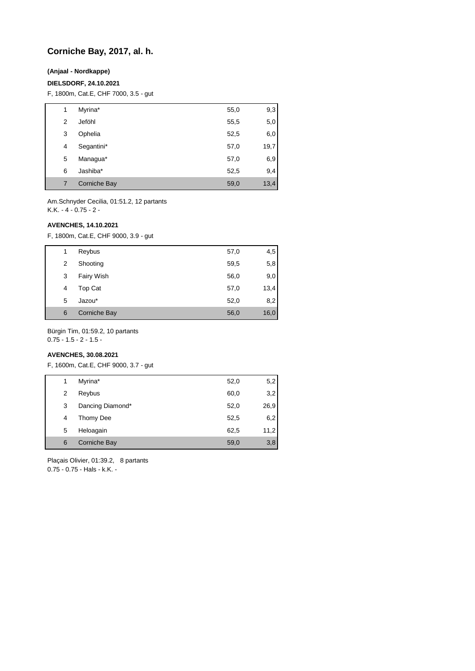# **Corniche Bay, 2017, al. h.**

# **(Anjaal - Nordkappe)**

#### **DIELSDORF, 24.10.2021**

F, 1800m, Cat.E, CHF 7000, 3.5 - gut

| 1 | Myrina*      | 55,0 | 9,3  |
|---|--------------|------|------|
| 2 | Jeföhl       | 55,5 | 5,0  |
| 3 | Ophelia      | 52,5 | 6,0  |
| 4 | Segantini*   | 57,0 | 19,7 |
| 5 | Managua*     | 57,0 | 6,9  |
| 6 | Jashiba*     | 52,5 | 9,4  |
| 7 | Corniche Bay | 59,0 | 13,4 |

Am.Schnyder Cecilia, 01:51.2, 12 partants K.K. - 4 - 0.75 - 2 -

### **AVENCHES, 14.10.2021**

F, 1800m, Cat.E, CHF 9000, 3.9 - gut

| 1 | Reybus              | 57,0 | 4,5  |
|---|---------------------|------|------|
| 2 | Shooting            | 59,5 | 5,8  |
| 3 | Fairy Wish          | 56,0 | 9,0  |
| 4 | Top Cat             | 57,0 | 13,4 |
| 5 | Jazou*              | 52,0 | 8,2  |
| 6 | <b>Corniche Bay</b> | 56,0 | 16,0 |

Bürgin Tim, 01:59.2, 10 partants

0.75 - 1.5 - 2 - 1.5 -

# **AVENCHES, 30.08.2021**

F, 1600m, Cat.E, CHF 9000, 3.7 - gut

| 1 | Myrina*          | 52,0 | 5,2  |
|---|------------------|------|------|
| 2 | Reybus           | 60,0 | 3,2  |
| 3 | Dancing Diamond* | 52,0 | 26,9 |
| 4 | Thomy Dee        | 52,5 | 6,2  |
| 5 | Heloagain        | 62,5 | 11,2 |
| 6 | Corniche Bay     | 59,0 | 3,8  |

Plaçais Olivier, 01:39.2, 8 partants 0.75 - 0.75 - Hals - k.K. -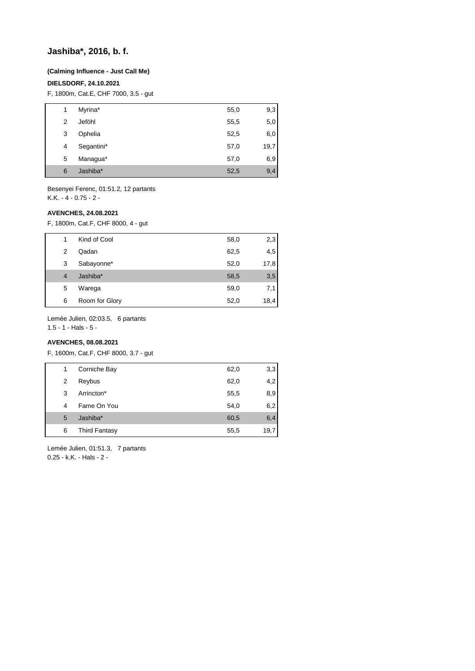# **Jashiba\*, 2016, b. f.**

#### **(Calming Influence - Just Call Me)**

### **DIELSDORF, 24.10.2021**

F, 1800m, Cat.E, CHF 7000, 3.5 - gut

| 1 | Myrina*    | 55,0 | 9,3  |
|---|------------|------|------|
| 2 | Jeföhl     | 55,5 | 5,0  |
| 3 | Ophelia    | 52,5 | 6,0  |
| 4 | Segantini* | 57,0 | 19,7 |
| 5 | Managua*   | 57,0 | 6,9  |
| 6 | Jashiba*   | 52,5 | 9,4  |

Besenyei Ferenc, 01:51.2, 12 partants K.K. - 4 - 0.75 - 2 -

#### **AVENCHES, 24.08.2021**

F, 1800m, Cat.F, CHF 8000, 4 - gut

|                | Kind of Cool   | 58,0 | 2,3  |
|----------------|----------------|------|------|
| 2              | Qadan          | 62,5 | 4,5  |
| 3              | Sabayonne*     | 52,0 | 17,8 |
| $\overline{4}$ | Jashiba*       | 58,5 | 3,5  |
| 5              | Warega         | 59,0 | 7,1  |
| 6              | Room for Glory | 52,0 | 18,4 |

Lemée Julien, 02:03.5, 6 partants

1.5 - 1 - Hals - 5 -

# **AVENCHES, 08.08.2021**

F, 1600m, Cat.F, CHF 8000, 3.7 - gut

| 1 | Corniche Bay         | 62,0 | 3,3  |
|---|----------------------|------|------|
| 2 | Reybus               | 62,0 | 4,2  |
| 3 | Arrincton*           | 55,5 | 8,9  |
| 4 | Fame On You          | 54,0 | 6,2  |
| 5 | Jashiba*             | 60,5 | 6,4  |
| 6 | <b>Third Fantasy</b> | 55,5 | 19,7 |

Lemée Julien, 01:51.3, 7 partants 0.25 - k.K. - Hals - 2 -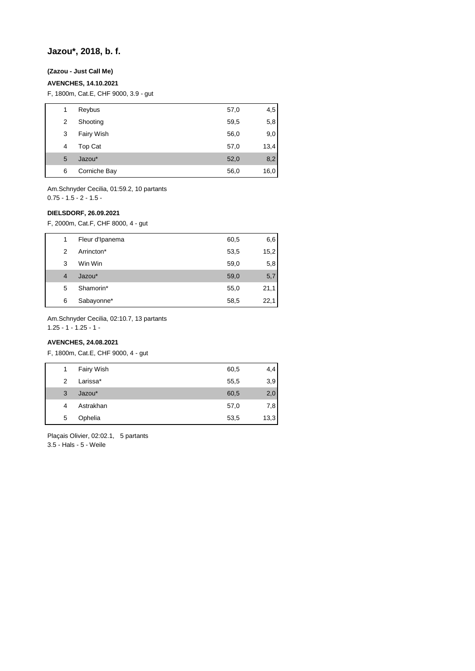# **Jazou\*, 2018, b. f.**

# **(Zazou - Just Call Me)**

### **AVENCHES, 14.10.2021**

F, 1800m, Cat.E, CHF 9000, 3.9 - gut

| 1 | Reybus       | 57,0 | 4,5  |
|---|--------------|------|------|
| 2 | Shooting     | 59,5 | 5,8  |
| 3 | Fairy Wish   | 56,0 | 9,0  |
| 4 | Top Cat      | 57,0 | 13,4 |
| 5 | Jazou*       | 52,0 | 8,2  |
| 6 | Corniche Bay | 56,0 | 16,0 |

Am.Schnyder Cecilia, 01:59.2, 10 partants  $0.75 - 1.5 - 2 - 1.5 -$ 

#### **DIELSDORF, 26.09.2021**

F, 2000m, Cat.F, CHF 8000, 4 - gut

| 1 | Fleur d'Ipanema | 60,5 | 6,6  |
|---|-----------------|------|------|
| 2 | Arrincton*      | 53,5 | 15,2 |
| 3 | Win Win         | 59,0 | 5,8  |
| 4 | Jazou*          | 59,0 | 5,7  |
| 5 | Shamorin*       | 55,0 | 21,1 |
| 6 | Sabayonne*      | 58,5 | 22,1 |

Am.Schnyder Cecilia, 02:10.7, 13 partants

1.25 - 1 - 1.25 - 1 -

# **AVENCHES, 24.08.2021**

F, 1800m, Cat.E, CHF 9000, 4 - gut

| 1 | Fairy Wish | 60,5 | 4,4  |
|---|------------|------|------|
| 2 | Larissa*   | 55,5 | 3,9  |
| 3 | Jazou*     | 60,5 | 2,0  |
| 4 | Astrakhan  | 57,0 | 7,8  |
| 5 | Ophelia    | 53,5 | 13,3 |
|   |            |      |      |

Plaçais Olivier, 02:02.1, 5 partants 3.5 - Hals - 5 - Weile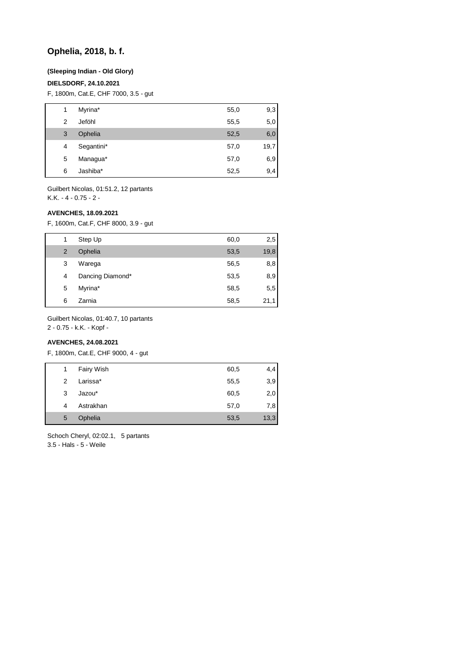# **Ophelia, 2018, b. f.**

### **(Sleeping Indian - Old Glory)**

# **DIELSDORF, 24.10.2021**

F, 1800m, Cat.E, CHF 7000, 3.5 - gut

| 1 | Myrina*    | 55,0 | 9,3  |
|---|------------|------|------|
| 2 | Jeföhl     | 55,5 | 5,0  |
| 3 | Ophelia    | 52,5 | 6,0  |
| 4 | Segantini* | 57,0 | 19,7 |
| 5 | Managua*   | 57,0 | 6,9  |
| 6 | Jashiba*   | 52,5 | 9,4  |
|   |            |      |      |

Guilbert Nicolas, 01:51.2, 12 partants K.K. - 4 - 0.75 - 2 -

### **AVENCHES, 18.09.2021**

F, 1600m, Cat.F, CHF 8000, 3.9 - gut

|   | Step Up          | 60,0 | 2,5  |
|---|------------------|------|------|
| 2 | Ophelia          | 53,5 | 19,8 |
| 3 | Warega           | 56,5 | 8,8  |
| 4 | Dancing Diamond* | 53,5 | 8,9  |
| 5 | Myrina*          | 58,5 | 5,5  |
| 6 | Zarnia           | 58,5 | 21,1 |

Guilbert Nicolas, 01:40.7, 10 partants

2 - 0.75 - k.K. - Kopf -

# **AVENCHES, 24.08.2021**

F, 1800m, Cat.E, CHF 9000, 4 - gut

| 1 | Fairy Wish | 60,5 | 4,4  |
|---|------------|------|------|
| 2 | Larissa*   | 55,5 | 3,9  |
| 3 | Jazou*     | 60,5 | 2,0  |
| 4 | Astrakhan  | 57,0 | 7,8  |
| 5 | Ophelia    | 53,5 | 13,3 |

Schoch Cheryl, 02:02.1, 5 partants 3.5 - Hals - 5 - Weile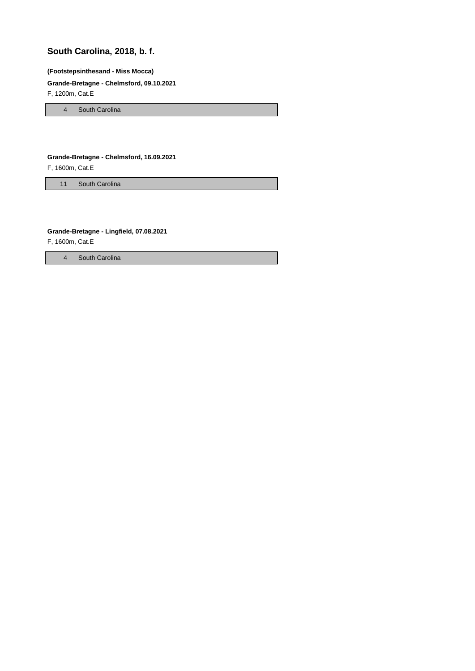# **South Carolina, 2018, b. f.**

#### **(Footstepsinthesand - Miss Mocca)**

# **Grande-Bretagne - Chelmsford, 09.10.2021**

F, 1200m, Cat.E

4 South Carolina

# **Grande-Bretagne - Chelmsford, 16.09.2021**

F, 1600m, Cat.E

11 South Carolina

# **Grande-Bretagne - Lingfield, 07.08.2021**

F, 1600m, Cat.E

4 South Carolina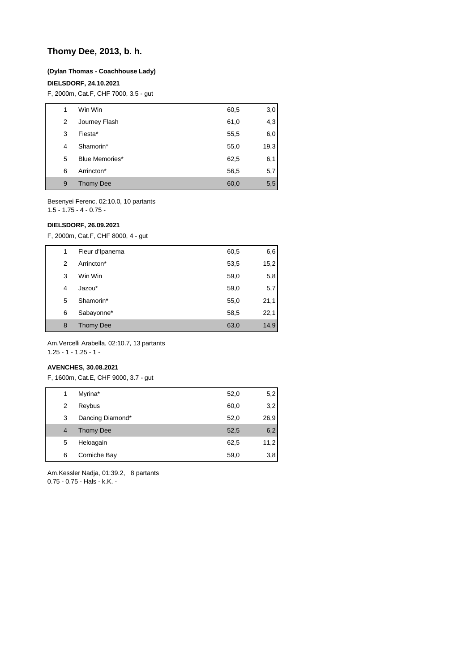# **Thomy Dee, 2013, b. h.**

# **(Dylan Thomas - Coachhouse Lady)**

## **DIELSDORF, 24.10.2021**

F, 2000m, Cat.F, CHF 7000, 3.5 - gut

| 1 | Win Win          | 60,5 | 3,0  |
|---|------------------|------|------|
| 2 | Journey Flash    | 61,0 | 4,3  |
| 3 | Fiesta*          | 55,5 | 6,0  |
| 4 | Shamorin*        | 55,0 | 19,3 |
| 5 | Blue Memories*   | 62,5 | 6,1  |
| 6 | Arrincton*       | 56,5 | 5,7  |
| 9 | <b>Thomy Dee</b> | 60,0 | 5,5  |

Besenyei Ferenc, 02:10.0, 10 partants 1.5 - 1.75 - 4 - 0.75 -

## **DIELSDORF, 26.09.2021**

F, 2000m, Cat.F, CHF 8000, 4 - gut

| 1 | Fleur d'Ipanema  | 60,5 | 6,6  |
|---|------------------|------|------|
| 2 | Arrincton*       | 53,5 | 15,2 |
| 3 | Win Win          | 59,0 | 5,8  |
| 4 | Jazou*           | 59,0 | 5,7  |
| 5 | Shamorin*        | 55,0 | 21,1 |
| 6 | Sabayonne*       | 58,5 | 22,1 |
| 8 | <b>Thomy Dee</b> | 63,0 | 14,9 |

Am.Vercelli Arabella, 02:10.7, 13 partants 1.25 - 1 - 1.25 - 1 -

#### **AVENCHES, 30.08.2021**

F, 1600m, Cat.E, CHF 9000, 3.7 - gut

| 1              | Myrina*          | 52,0 | 5,2  |
|----------------|------------------|------|------|
| 2              | Reybus           | 60,0 | 3,2  |
| 3              | Dancing Diamond* | 52,0 | 26,9 |
| $\overline{4}$ | Thomy Dee        | 52,5 | 6,2  |
| 5              | Heloagain        | 62,5 | 11,2 |
| 6              | Corniche Bay     | 59,0 | 3,8  |

Am.Kessler Nadja, 01:39.2, 8 partants 0.75 - 0.75 - Hals - k.K. -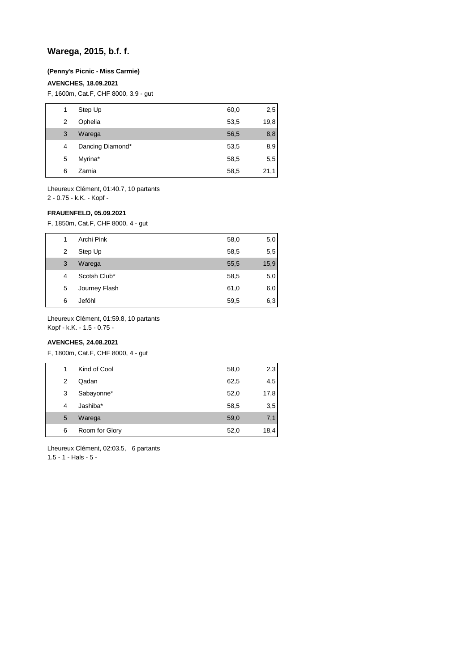# **Warega, 2015, b.f. f.**

#### **(Penny's Picnic - Miss Carmie)**

### **AVENCHES, 18.09.2021**

F, 1600m, Cat.F, CHF 8000, 3.9 - gut

| 1 | Step Up          | 60,0 | 2,5  |
|---|------------------|------|------|
| 2 | Ophelia          | 53,5 | 19,8 |
| 3 | Warega           | 56,5 | 8,8  |
| 4 | Dancing Diamond* | 53,5 | 8,9  |
| 5 | Myrina*          | 58,5 | 5,5  |
| 6 | Zarnia           | 58,5 | 21,1 |

Lheureux Clément, 01:40.7, 10 partants 2 - 0.75 - k.K. - Kopf -

# **FRAUENFELD, 05.09.2021**

F, 1850m, Cat.F, CHF 8000, 4 - gut

|   | Archi Pink    | 58,0 | 5,0  |
|---|---------------|------|------|
| 2 | Step Up       | 58,5 | 5,5  |
| 3 | Warega        | 55,5 | 15,9 |
| 4 | Scotsh Club*  | 58,5 | 5,0  |
| 5 | Journey Flash | 61,0 | 6,0  |
| 6 | Jeföhl        | 59,5 | 6,3  |

Lheureux Clément, 01:59.8, 10 partants

Kopf - k.K. - 1.5 - 0.75 -

# **AVENCHES, 24.08.2021**

F, 1800m, Cat.F, CHF 8000, 4 - gut

| 1 | Kind of Cool   | 58,0 | 2,3  |
|---|----------------|------|------|
| 2 | Qadan          | 62,5 | 4,5  |
| 3 | Sabayonne*     | 52,0 | 17,8 |
| 4 | Jashiba*       | 58,5 | 3,5  |
| 5 | Warega         | 59,0 | 7,1  |
| 6 | Room for Glory | 52,0 | 18,4 |

Lheureux Clément, 02:03.5, 6 partants 1.5 - 1 - Hals - 5 -